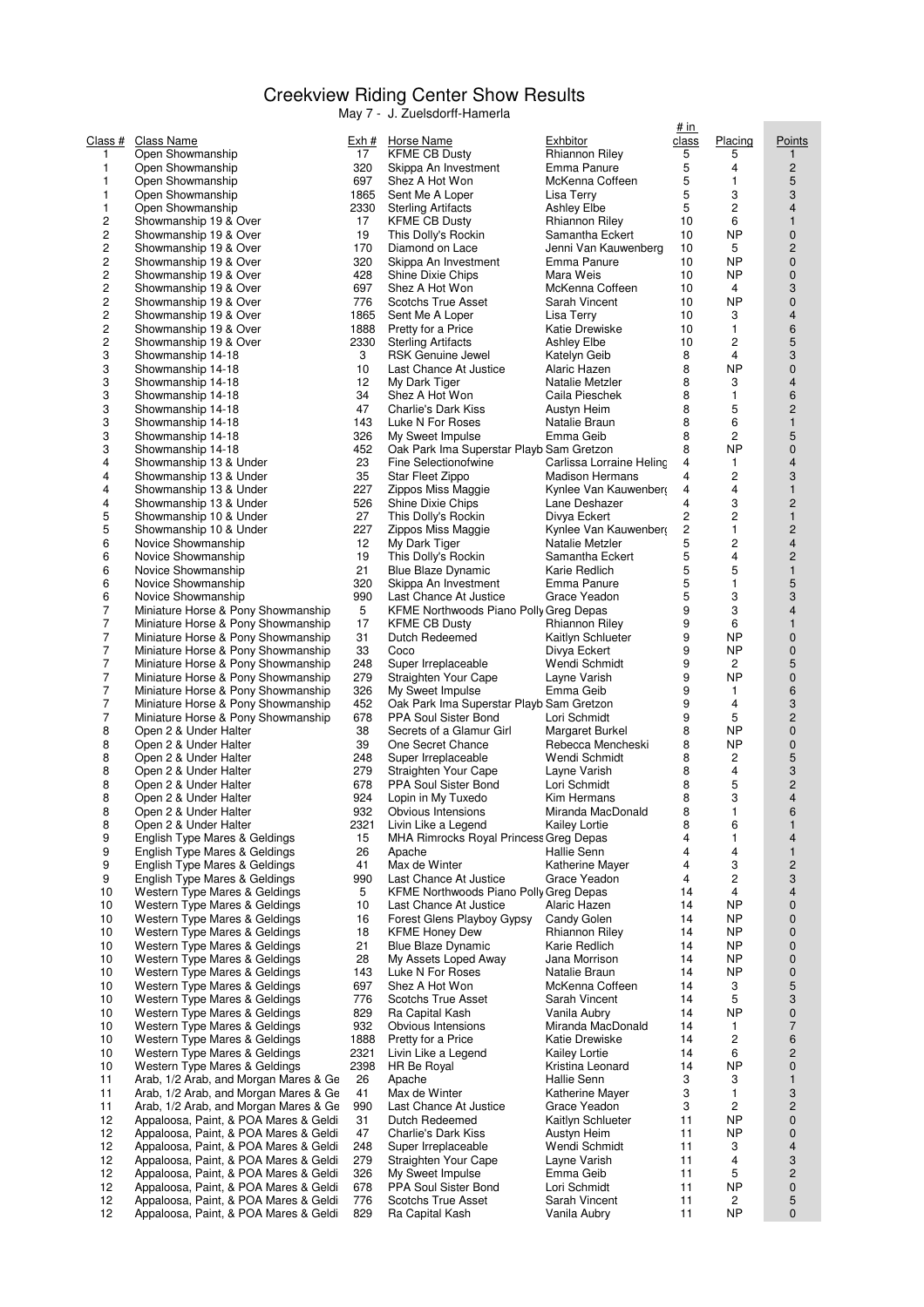## Creekview Riding Center Show Results

May 7 - J. Zuelsdorff-Hamerla

| <u>Class #</u><br><b>Class Name</b><br><u>Exh #</u><br>1<br>Open Showmanship<br>17<br>1<br>Open Showmanship<br>320<br>697<br>1<br>Open Showmanship<br>1<br>1865<br>Open Showmanship<br>2330<br>1<br>Open Showmanship<br>2<br>17<br>Showmanship 19 & Over<br>$\overline{c}$<br>19<br>Showmanship 19 & Over<br>2<br>170<br>Showmanship 19 & Over<br>2<br>320<br>Showmanship 19 & Over<br>$\overline{c}$<br>Showmanship 19 & Over<br>428<br>$\overline{c}$<br>697<br>Showmanship 19 & Over<br>2<br>776<br>Showmanship 19 & Over<br>2<br>Showmanship 19 & Over<br>1865<br>2<br>Showmanship 19 & Over<br>1888<br>$\overline{c}$<br>2330<br>Showmanship 19 & Over<br>3<br>3<br>Showmanship 14-18<br>3<br>10<br>Showmanship 14-18<br>3<br>12<br>Showmanship 14-18<br>3<br>34<br>Showmanship 14-18<br>3<br>47<br>Showmanship 14-18<br>3<br>143<br>Showmanship 14-18<br>3<br>326<br>Showmanship 14-18<br>3<br>452<br>Showmanship 14-18<br>4<br>23<br>Showmanship 13 & Under<br>4<br>35<br>Showmanship 13 & Under<br>227<br>4<br>Showmanship 13 & Under<br>4<br>Showmanship 13 & Under<br>526<br>5<br>27<br>Showmanship 10 & Under<br>5<br>227<br>Showmanship 10 & Under<br>12<br>6<br>Novice Showmanship<br>6<br>Novice Showmanship<br>19<br>21<br>6<br>Novice Showmanship<br>6<br>320<br>Novice Showmanship<br>990<br>6<br>Novice Showmanship<br>7<br>5<br>Miniature Horse & Pony Showmanship<br>7<br>17<br>Miniature Horse & Pony Showmanship<br>7<br>31<br>Miniature Horse & Pony Showmanship<br>7<br>33<br>Miniature Horse & Pony Showmanship<br>7<br>Miniature Horse & Pony Showmanship<br>248<br>7<br>279<br>Miniature Horse & Pony Showmanship<br>7<br>Miniature Horse & Pony Showmanship<br>326<br>7<br>452<br>Miniature Horse & Pony Showmanship<br>7<br>Miniature Horse & Pony Showmanship<br>678<br>8<br>38<br>Open 2 & Under Halter<br>8<br>39<br>Open 2 & Under Halter<br>8<br>248<br>Open 2 & Under Halter<br>8<br>279<br>Open 2 & Under Halter<br>8<br>Open 2 & Under Halter<br>678<br>8<br>924<br>Open 2 & Under Halter<br>8<br>932<br>Open 2 & Under Halter<br>8<br>Open 2 & Under Halter<br>2321<br>9<br>English Type Mares & Geldings<br>15<br>9<br>English Type Mares & Geldings<br>26<br>9<br>41<br>English Type Mares & Geldings<br>9<br>990<br>English Type Mares & Geldings<br>10<br>Western Type Mares & Geldings<br>5<br>10<br>Western Type Mares & Geldings<br>10<br>10<br>Western Type Mares & Geldings<br>16<br>10<br>Western Type Mares & Geldings<br>18<br>10<br>Western Type Mares & Geldings<br>21<br>10<br>Western Type Mares & Geldings<br>28 | <b>Horse Name</b><br><u>Exhbitor</u><br><b>KFME CB Dusty</b><br>Rhianno<br>Skippa An Investment<br>Emma F<br>McKenn<br>Shez A Hot Won<br>Lisa Ter<br>Sent Me A Loper<br><b>Sterling Artifacts</b><br>Ashley E<br><b>KFME CB Dusty</b><br>Rhianno<br>This Dolly's Rockin<br>Samantl<br>Diamond on Lace<br>Jenni Va<br>Skippa An Investment<br>Emma F<br>Shine Dixie Chips<br>Mara W<br>Shez A Hot Won<br>McKenn<br><b>Scotchs True Asset</b><br>Sarah V<br>Sent Me A Loper<br>Lisa Ter<br>Pretty for a Price<br>Katie Dr<br><b>Sterling Artifacts</b><br>Ashley E<br><b>RSK Genuine Jewel</b><br>Katelyn<br>Last Chance At Justice<br>Alaric H<br>My Dark Tiger<br>Natalie I<br>Shez A Hot Won<br>Caila Pi<br>Charlie's Dark Kiss<br>Austyn F<br>Luke N For Roses<br>Natalie I<br>My Sweet Impulse<br>Emma C<br>Oak Park Ima Superstar Playb Sam Gre<br>Fine Selectionofwine<br>Carlissa<br>Star Fleet Zippo<br>Madisor<br>Zippos Miss Maggie<br>Kynlee \<br>Shine Dixie Chips<br>Lane De<br>This Dolly's Rockin<br>Divya Er<br>Zippos Miss Maggie<br>Kynlee \<br>My Dark Tiger<br>Natalie I<br>This Dolly's Rockin<br>Samantl<br>Blue Blaze Dynamic<br>Karie Re |
|-------------------------------------------------------------------------------------------------------------------------------------------------------------------------------------------------------------------------------------------------------------------------------------------------------------------------------------------------------------------------------------------------------------------------------------------------------------------------------------------------------------------------------------------------------------------------------------------------------------------------------------------------------------------------------------------------------------------------------------------------------------------------------------------------------------------------------------------------------------------------------------------------------------------------------------------------------------------------------------------------------------------------------------------------------------------------------------------------------------------------------------------------------------------------------------------------------------------------------------------------------------------------------------------------------------------------------------------------------------------------------------------------------------------------------------------------------------------------------------------------------------------------------------------------------------------------------------------------------------------------------------------------------------------------------------------------------------------------------------------------------------------------------------------------------------------------------------------------------------------------------------------------------------------------------------------------------------------------------------------------------------------------------------------------------------------------------------------------------------------------------------------------------------------------------------------------------------------------------------------------------------------------------------------------------------------------------------------------------------------------------------------------------------------------------------------------------------------------------------------------------------------------------------------------------------------------|-----------------------------------------------------------------------------------------------------------------------------------------------------------------------------------------------------------------------------------------------------------------------------------------------------------------------------------------------------------------------------------------------------------------------------------------------------------------------------------------------------------------------------------------------------------------------------------------------------------------------------------------------------------------------------------------------------------------------------------------------------------------------------------------------------------------------------------------------------------------------------------------------------------------------------------------------------------------------------------------------------------------------------------------------------------------------------------------------------------------------------------------------------------------|
|                                                                                                                                                                                                                                                                                                                                                                                                                                                                                                                                                                                                                                                                                                                                                                                                                                                                                                                                                                                                                                                                                                                                                                                                                                                                                                                                                                                                                                                                                                                                                                                                                                                                                                                                                                                                                                                                                                                                                                                                                                                                                                                                                                                                                                                                                                                                                                                                                                                                                                                                                                         |                                                                                                                                                                                                                                                                                                                                                                                                                                                                                                                                                                                                                                                                                                                                                                                                                                                                                                                                                                                                                                                                                                                                                                 |
|                                                                                                                                                                                                                                                                                                                                                                                                                                                                                                                                                                                                                                                                                                                                                                                                                                                                                                                                                                                                                                                                                                                                                                                                                                                                                                                                                                                                                                                                                                                                                                                                                                                                                                                                                                                                                                                                                                                                                                                                                                                                                                                                                                                                                                                                                                                                                                                                                                                                                                                                                                         |                                                                                                                                                                                                                                                                                                                                                                                                                                                                                                                                                                                                                                                                                                                                                                                                                                                                                                                                                                                                                                                                                                                                                                 |
|                                                                                                                                                                                                                                                                                                                                                                                                                                                                                                                                                                                                                                                                                                                                                                                                                                                                                                                                                                                                                                                                                                                                                                                                                                                                                                                                                                                                                                                                                                                                                                                                                                                                                                                                                                                                                                                                                                                                                                                                                                                                                                                                                                                                                                                                                                                                                                                                                                                                                                                                                                         |                                                                                                                                                                                                                                                                                                                                                                                                                                                                                                                                                                                                                                                                                                                                                                                                                                                                                                                                                                                                                                                                                                                                                                 |
|                                                                                                                                                                                                                                                                                                                                                                                                                                                                                                                                                                                                                                                                                                                                                                                                                                                                                                                                                                                                                                                                                                                                                                                                                                                                                                                                                                                                                                                                                                                                                                                                                                                                                                                                                                                                                                                                                                                                                                                                                                                                                                                                                                                                                                                                                                                                                                                                                                                                                                                                                                         |                                                                                                                                                                                                                                                                                                                                                                                                                                                                                                                                                                                                                                                                                                                                                                                                                                                                                                                                                                                                                                                                                                                                                                 |
|                                                                                                                                                                                                                                                                                                                                                                                                                                                                                                                                                                                                                                                                                                                                                                                                                                                                                                                                                                                                                                                                                                                                                                                                                                                                                                                                                                                                                                                                                                                                                                                                                                                                                                                                                                                                                                                                                                                                                                                                                                                                                                                                                                                                                                                                                                                                                                                                                                                                                                                                                                         |                                                                                                                                                                                                                                                                                                                                                                                                                                                                                                                                                                                                                                                                                                                                                                                                                                                                                                                                                                                                                                                                                                                                                                 |
|                                                                                                                                                                                                                                                                                                                                                                                                                                                                                                                                                                                                                                                                                                                                                                                                                                                                                                                                                                                                                                                                                                                                                                                                                                                                                                                                                                                                                                                                                                                                                                                                                                                                                                                                                                                                                                                                                                                                                                                                                                                                                                                                                                                                                                                                                                                                                                                                                                                                                                                                                                         |                                                                                                                                                                                                                                                                                                                                                                                                                                                                                                                                                                                                                                                                                                                                                                                                                                                                                                                                                                                                                                                                                                                                                                 |
|                                                                                                                                                                                                                                                                                                                                                                                                                                                                                                                                                                                                                                                                                                                                                                                                                                                                                                                                                                                                                                                                                                                                                                                                                                                                                                                                                                                                                                                                                                                                                                                                                                                                                                                                                                                                                                                                                                                                                                                                                                                                                                                                                                                                                                                                                                                                                                                                                                                                                                                                                                         |                                                                                                                                                                                                                                                                                                                                                                                                                                                                                                                                                                                                                                                                                                                                                                                                                                                                                                                                                                                                                                                                                                                                                                 |
|                                                                                                                                                                                                                                                                                                                                                                                                                                                                                                                                                                                                                                                                                                                                                                                                                                                                                                                                                                                                                                                                                                                                                                                                                                                                                                                                                                                                                                                                                                                                                                                                                                                                                                                                                                                                                                                                                                                                                                                                                                                                                                                                                                                                                                                                                                                                                                                                                                                                                                                                                                         |                                                                                                                                                                                                                                                                                                                                                                                                                                                                                                                                                                                                                                                                                                                                                                                                                                                                                                                                                                                                                                                                                                                                                                 |
|                                                                                                                                                                                                                                                                                                                                                                                                                                                                                                                                                                                                                                                                                                                                                                                                                                                                                                                                                                                                                                                                                                                                                                                                                                                                                                                                                                                                                                                                                                                                                                                                                                                                                                                                                                                                                                                                                                                                                                                                                                                                                                                                                                                                                                                                                                                                                                                                                                                                                                                                                                         |                                                                                                                                                                                                                                                                                                                                                                                                                                                                                                                                                                                                                                                                                                                                                                                                                                                                                                                                                                                                                                                                                                                                                                 |
|                                                                                                                                                                                                                                                                                                                                                                                                                                                                                                                                                                                                                                                                                                                                                                                                                                                                                                                                                                                                                                                                                                                                                                                                                                                                                                                                                                                                                                                                                                                                                                                                                                                                                                                                                                                                                                                                                                                                                                                                                                                                                                                                                                                                                                                                                                                                                                                                                                                                                                                                                                         |                                                                                                                                                                                                                                                                                                                                                                                                                                                                                                                                                                                                                                                                                                                                                                                                                                                                                                                                                                                                                                                                                                                                                                 |
|                                                                                                                                                                                                                                                                                                                                                                                                                                                                                                                                                                                                                                                                                                                                                                                                                                                                                                                                                                                                                                                                                                                                                                                                                                                                                                                                                                                                                                                                                                                                                                                                                                                                                                                                                                                                                                                                                                                                                                                                                                                                                                                                                                                                                                                                                                                                                                                                                                                                                                                                                                         |                                                                                                                                                                                                                                                                                                                                                                                                                                                                                                                                                                                                                                                                                                                                                                                                                                                                                                                                                                                                                                                                                                                                                                 |
|                                                                                                                                                                                                                                                                                                                                                                                                                                                                                                                                                                                                                                                                                                                                                                                                                                                                                                                                                                                                                                                                                                                                                                                                                                                                                                                                                                                                                                                                                                                                                                                                                                                                                                                                                                                                                                                                                                                                                                                                                                                                                                                                                                                                                                                                                                                                                                                                                                                                                                                                                                         |                                                                                                                                                                                                                                                                                                                                                                                                                                                                                                                                                                                                                                                                                                                                                                                                                                                                                                                                                                                                                                                                                                                                                                 |
|                                                                                                                                                                                                                                                                                                                                                                                                                                                                                                                                                                                                                                                                                                                                                                                                                                                                                                                                                                                                                                                                                                                                                                                                                                                                                                                                                                                                                                                                                                                                                                                                                                                                                                                                                                                                                                                                                                                                                                                                                                                                                                                                                                                                                                                                                                                                                                                                                                                                                                                                                                         |                                                                                                                                                                                                                                                                                                                                                                                                                                                                                                                                                                                                                                                                                                                                                                                                                                                                                                                                                                                                                                                                                                                                                                 |
|                                                                                                                                                                                                                                                                                                                                                                                                                                                                                                                                                                                                                                                                                                                                                                                                                                                                                                                                                                                                                                                                                                                                                                                                                                                                                                                                                                                                                                                                                                                                                                                                                                                                                                                                                                                                                                                                                                                                                                                                                                                                                                                                                                                                                                                                                                                                                                                                                                                                                                                                                                         |                                                                                                                                                                                                                                                                                                                                                                                                                                                                                                                                                                                                                                                                                                                                                                                                                                                                                                                                                                                                                                                                                                                                                                 |
|                                                                                                                                                                                                                                                                                                                                                                                                                                                                                                                                                                                                                                                                                                                                                                                                                                                                                                                                                                                                                                                                                                                                                                                                                                                                                                                                                                                                                                                                                                                                                                                                                                                                                                                                                                                                                                                                                                                                                                                                                                                                                                                                                                                                                                                                                                                                                                                                                                                                                                                                                                         |                                                                                                                                                                                                                                                                                                                                                                                                                                                                                                                                                                                                                                                                                                                                                                                                                                                                                                                                                                                                                                                                                                                                                                 |
|                                                                                                                                                                                                                                                                                                                                                                                                                                                                                                                                                                                                                                                                                                                                                                                                                                                                                                                                                                                                                                                                                                                                                                                                                                                                                                                                                                                                                                                                                                                                                                                                                                                                                                                                                                                                                                                                                                                                                                                                                                                                                                                                                                                                                                                                                                                                                                                                                                                                                                                                                                         |                                                                                                                                                                                                                                                                                                                                                                                                                                                                                                                                                                                                                                                                                                                                                                                                                                                                                                                                                                                                                                                                                                                                                                 |
|                                                                                                                                                                                                                                                                                                                                                                                                                                                                                                                                                                                                                                                                                                                                                                                                                                                                                                                                                                                                                                                                                                                                                                                                                                                                                                                                                                                                                                                                                                                                                                                                                                                                                                                                                                                                                                                                                                                                                                                                                                                                                                                                                                                                                                                                                                                                                                                                                                                                                                                                                                         |                                                                                                                                                                                                                                                                                                                                                                                                                                                                                                                                                                                                                                                                                                                                                                                                                                                                                                                                                                                                                                                                                                                                                                 |
|                                                                                                                                                                                                                                                                                                                                                                                                                                                                                                                                                                                                                                                                                                                                                                                                                                                                                                                                                                                                                                                                                                                                                                                                                                                                                                                                                                                                                                                                                                                                                                                                                                                                                                                                                                                                                                                                                                                                                                                                                                                                                                                                                                                                                                                                                                                                                                                                                                                                                                                                                                         |                                                                                                                                                                                                                                                                                                                                                                                                                                                                                                                                                                                                                                                                                                                                                                                                                                                                                                                                                                                                                                                                                                                                                                 |
|                                                                                                                                                                                                                                                                                                                                                                                                                                                                                                                                                                                                                                                                                                                                                                                                                                                                                                                                                                                                                                                                                                                                                                                                                                                                                                                                                                                                                                                                                                                                                                                                                                                                                                                                                                                                                                                                                                                                                                                                                                                                                                                                                                                                                                                                                                                                                                                                                                                                                                                                                                         |                                                                                                                                                                                                                                                                                                                                                                                                                                                                                                                                                                                                                                                                                                                                                                                                                                                                                                                                                                                                                                                                                                                                                                 |
|                                                                                                                                                                                                                                                                                                                                                                                                                                                                                                                                                                                                                                                                                                                                                                                                                                                                                                                                                                                                                                                                                                                                                                                                                                                                                                                                                                                                                                                                                                                                                                                                                                                                                                                                                                                                                                                                                                                                                                                                                                                                                                                                                                                                                                                                                                                                                                                                                                                                                                                                                                         |                                                                                                                                                                                                                                                                                                                                                                                                                                                                                                                                                                                                                                                                                                                                                                                                                                                                                                                                                                                                                                                                                                                                                                 |
|                                                                                                                                                                                                                                                                                                                                                                                                                                                                                                                                                                                                                                                                                                                                                                                                                                                                                                                                                                                                                                                                                                                                                                                                                                                                                                                                                                                                                                                                                                                                                                                                                                                                                                                                                                                                                                                                                                                                                                                                                                                                                                                                                                                                                                                                                                                                                                                                                                                                                                                                                                         |                                                                                                                                                                                                                                                                                                                                                                                                                                                                                                                                                                                                                                                                                                                                                                                                                                                                                                                                                                                                                                                                                                                                                                 |
|                                                                                                                                                                                                                                                                                                                                                                                                                                                                                                                                                                                                                                                                                                                                                                                                                                                                                                                                                                                                                                                                                                                                                                                                                                                                                                                                                                                                                                                                                                                                                                                                                                                                                                                                                                                                                                                                                                                                                                                                                                                                                                                                                                                                                                                                                                                                                                                                                                                                                                                                                                         |                                                                                                                                                                                                                                                                                                                                                                                                                                                                                                                                                                                                                                                                                                                                                                                                                                                                                                                                                                                                                                                                                                                                                                 |
|                                                                                                                                                                                                                                                                                                                                                                                                                                                                                                                                                                                                                                                                                                                                                                                                                                                                                                                                                                                                                                                                                                                                                                                                                                                                                                                                                                                                                                                                                                                                                                                                                                                                                                                                                                                                                                                                                                                                                                                                                                                                                                                                                                                                                                                                                                                                                                                                                                                                                                                                                                         |                                                                                                                                                                                                                                                                                                                                                                                                                                                                                                                                                                                                                                                                                                                                                                                                                                                                                                                                                                                                                                                                                                                                                                 |
|                                                                                                                                                                                                                                                                                                                                                                                                                                                                                                                                                                                                                                                                                                                                                                                                                                                                                                                                                                                                                                                                                                                                                                                                                                                                                                                                                                                                                                                                                                                                                                                                                                                                                                                                                                                                                                                                                                                                                                                                                                                                                                                                                                                                                                                                                                                                                                                                                                                                                                                                                                         |                                                                                                                                                                                                                                                                                                                                                                                                                                                                                                                                                                                                                                                                                                                                                                                                                                                                                                                                                                                                                                                                                                                                                                 |
|                                                                                                                                                                                                                                                                                                                                                                                                                                                                                                                                                                                                                                                                                                                                                                                                                                                                                                                                                                                                                                                                                                                                                                                                                                                                                                                                                                                                                                                                                                                                                                                                                                                                                                                                                                                                                                                                                                                                                                                                                                                                                                                                                                                                                                                                                                                                                                                                                                                                                                                                                                         |                                                                                                                                                                                                                                                                                                                                                                                                                                                                                                                                                                                                                                                                                                                                                                                                                                                                                                                                                                                                                                                                                                                                                                 |
|                                                                                                                                                                                                                                                                                                                                                                                                                                                                                                                                                                                                                                                                                                                                                                                                                                                                                                                                                                                                                                                                                                                                                                                                                                                                                                                                                                                                                                                                                                                                                                                                                                                                                                                                                                                                                                                                                                                                                                                                                                                                                                                                                                                                                                                                                                                                                                                                                                                                                                                                                                         |                                                                                                                                                                                                                                                                                                                                                                                                                                                                                                                                                                                                                                                                                                                                                                                                                                                                                                                                                                                                                                                                                                                                                                 |
|                                                                                                                                                                                                                                                                                                                                                                                                                                                                                                                                                                                                                                                                                                                                                                                                                                                                                                                                                                                                                                                                                                                                                                                                                                                                                                                                                                                                                                                                                                                                                                                                                                                                                                                                                                                                                                                                                                                                                                                                                                                                                                                                                                                                                                                                                                                                                                                                                                                                                                                                                                         |                                                                                                                                                                                                                                                                                                                                                                                                                                                                                                                                                                                                                                                                                                                                                                                                                                                                                                                                                                                                                                                                                                                                                                 |
|                                                                                                                                                                                                                                                                                                                                                                                                                                                                                                                                                                                                                                                                                                                                                                                                                                                                                                                                                                                                                                                                                                                                                                                                                                                                                                                                                                                                                                                                                                                                                                                                                                                                                                                                                                                                                                                                                                                                                                                                                                                                                                                                                                                                                                                                                                                                                                                                                                                                                                                                                                         |                                                                                                                                                                                                                                                                                                                                                                                                                                                                                                                                                                                                                                                                                                                                                                                                                                                                                                                                                                                                                                                                                                                                                                 |
|                                                                                                                                                                                                                                                                                                                                                                                                                                                                                                                                                                                                                                                                                                                                                                                                                                                                                                                                                                                                                                                                                                                                                                                                                                                                                                                                                                                                                                                                                                                                                                                                                                                                                                                                                                                                                                                                                                                                                                                                                                                                                                                                                                                                                                                                                                                                                                                                                                                                                                                                                                         | Skippa An Investment<br>Emma F                                                                                                                                                                                                                                                                                                                                                                                                                                                                                                                                                                                                                                                                                                                                                                                                                                                                                                                                                                                                                                                                                                                                  |
|                                                                                                                                                                                                                                                                                                                                                                                                                                                                                                                                                                                                                                                                                                                                                                                                                                                                                                                                                                                                                                                                                                                                                                                                                                                                                                                                                                                                                                                                                                                                                                                                                                                                                                                                                                                                                                                                                                                                                                                                                                                                                                                                                                                                                                                                                                                                                                                                                                                                                                                                                                         | Last Chance At Justice<br>Grace Y                                                                                                                                                                                                                                                                                                                                                                                                                                                                                                                                                                                                                                                                                                                                                                                                                                                                                                                                                                                                                                                                                                                               |
|                                                                                                                                                                                                                                                                                                                                                                                                                                                                                                                                                                                                                                                                                                                                                                                                                                                                                                                                                                                                                                                                                                                                                                                                                                                                                                                                                                                                                                                                                                                                                                                                                                                                                                                                                                                                                                                                                                                                                                                                                                                                                                                                                                                                                                                                                                                                                                                                                                                                                                                                                                         | KFME Northwoods Piano Polly Greg De                                                                                                                                                                                                                                                                                                                                                                                                                                                                                                                                                                                                                                                                                                                                                                                                                                                                                                                                                                                                                                                                                                                             |
|                                                                                                                                                                                                                                                                                                                                                                                                                                                                                                                                                                                                                                                                                                                                                                                                                                                                                                                                                                                                                                                                                                                                                                                                                                                                                                                                                                                                                                                                                                                                                                                                                                                                                                                                                                                                                                                                                                                                                                                                                                                                                                                                                                                                                                                                                                                                                                                                                                                                                                                                                                         | <b>KFME CB Dusty</b><br>Rhianno                                                                                                                                                                                                                                                                                                                                                                                                                                                                                                                                                                                                                                                                                                                                                                                                                                                                                                                                                                                                                                                                                                                                 |
|                                                                                                                                                                                                                                                                                                                                                                                                                                                                                                                                                                                                                                                                                                                                                                                                                                                                                                                                                                                                                                                                                                                                                                                                                                                                                                                                                                                                                                                                                                                                                                                                                                                                                                                                                                                                                                                                                                                                                                                                                                                                                                                                                                                                                                                                                                                                                                                                                                                                                                                                                                         | Dutch Redeemed<br>Kaitlyn S<br>Coco<br>Divya E                                                                                                                                                                                                                                                                                                                                                                                                                                                                                                                                                                                                                                                                                                                                                                                                                                                                                                                                                                                                                                                                                                                  |
|                                                                                                                                                                                                                                                                                                                                                                                                                                                                                                                                                                                                                                                                                                                                                                                                                                                                                                                                                                                                                                                                                                                                                                                                                                                                                                                                                                                                                                                                                                                                                                                                                                                                                                                                                                                                                                                                                                                                                                                                                                                                                                                                                                                                                                                                                                                                                                                                                                                                                                                                                                         | Super Irreplaceable<br>Wendi S                                                                                                                                                                                                                                                                                                                                                                                                                                                                                                                                                                                                                                                                                                                                                                                                                                                                                                                                                                                                                                                                                                                                  |
|                                                                                                                                                                                                                                                                                                                                                                                                                                                                                                                                                                                                                                                                                                                                                                                                                                                                                                                                                                                                                                                                                                                                                                                                                                                                                                                                                                                                                                                                                                                                                                                                                                                                                                                                                                                                                                                                                                                                                                                                                                                                                                                                                                                                                                                                                                                                                                                                                                                                                                                                                                         | Straighten Your Cape<br>Layne V                                                                                                                                                                                                                                                                                                                                                                                                                                                                                                                                                                                                                                                                                                                                                                                                                                                                                                                                                                                                                                                                                                                                 |
|                                                                                                                                                                                                                                                                                                                                                                                                                                                                                                                                                                                                                                                                                                                                                                                                                                                                                                                                                                                                                                                                                                                                                                                                                                                                                                                                                                                                                                                                                                                                                                                                                                                                                                                                                                                                                                                                                                                                                                                                                                                                                                                                                                                                                                                                                                                                                                                                                                                                                                                                                                         | My Sweet Impulse<br>Emma C                                                                                                                                                                                                                                                                                                                                                                                                                                                                                                                                                                                                                                                                                                                                                                                                                                                                                                                                                                                                                                                                                                                                      |
|                                                                                                                                                                                                                                                                                                                                                                                                                                                                                                                                                                                                                                                                                                                                                                                                                                                                                                                                                                                                                                                                                                                                                                                                                                                                                                                                                                                                                                                                                                                                                                                                                                                                                                                                                                                                                                                                                                                                                                                                                                                                                                                                                                                                                                                                                                                                                                                                                                                                                                                                                                         | Oak Park Ima Superstar Playb Sam Gre                                                                                                                                                                                                                                                                                                                                                                                                                                                                                                                                                                                                                                                                                                                                                                                                                                                                                                                                                                                                                                                                                                                            |
|                                                                                                                                                                                                                                                                                                                                                                                                                                                                                                                                                                                                                                                                                                                                                                                                                                                                                                                                                                                                                                                                                                                                                                                                                                                                                                                                                                                                                                                                                                                                                                                                                                                                                                                                                                                                                                                                                                                                                                                                                                                                                                                                                                                                                                                                                                                                                                                                                                                                                                                                                                         | PPA Soul Sister Bond<br>Lori Sch                                                                                                                                                                                                                                                                                                                                                                                                                                                                                                                                                                                                                                                                                                                                                                                                                                                                                                                                                                                                                                                                                                                                |
|                                                                                                                                                                                                                                                                                                                                                                                                                                                                                                                                                                                                                                                                                                                                                                                                                                                                                                                                                                                                                                                                                                                                                                                                                                                                                                                                                                                                                                                                                                                                                                                                                                                                                                                                                                                                                                                                                                                                                                                                                                                                                                                                                                                                                                                                                                                                                                                                                                                                                                                                                                         | Secrets of a Glamur Girl<br>Margare<br>One Secret Chance<br>Rebecca                                                                                                                                                                                                                                                                                                                                                                                                                                                                                                                                                                                                                                                                                                                                                                                                                                                                                                                                                                                                                                                                                             |
|                                                                                                                                                                                                                                                                                                                                                                                                                                                                                                                                                                                                                                                                                                                                                                                                                                                                                                                                                                                                                                                                                                                                                                                                                                                                                                                                                                                                                                                                                                                                                                                                                                                                                                                                                                                                                                                                                                                                                                                                                                                                                                                                                                                                                                                                                                                                                                                                                                                                                                                                                                         | Super Irreplaceable<br>Wendi S                                                                                                                                                                                                                                                                                                                                                                                                                                                                                                                                                                                                                                                                                                                                                                                                                                                                                                                                                                                                                                                                                                                                  |
|                                                                                                                                                                                                                                                                                                                                                                                                                                                                                                                                                                                                                                                                                                                                                                                                                                                                                                                                                                                                                                                                                                                                                                                                                                                                                                                                                                                                                                                                                                                                                                                                                                                                                                                                                                                                                                                                                                                                                                                                                                                                                                                                                                                                                                                                                                                                                                                                                                                                                                                                                                         | Straighten Your Cape<br>Layne V                                                                                                                                                                                                                                                                                                                                                                                                                                                                                                                                                                                                                                                                                                                                                                                                                                                                                                                                                                                                                                                                                                                                 |
|                                                                                                                                                                                                                                                                                                                                                                                                                                                                                                                                                                                                                                                                                                                                                                                                                                                                                                                                                                                                                                                                                                                                                                                                                                                                                                                                                                                                                                                                                                                                                                                                                                                                                                                                                                                                                                                                                                                                                                                                                                                                                                                                                                                                                                                                                                                                                                                                                                                                                                                                                                         | PPA Soul Sister Bond<br>Lori Sch                                                                                                                                                                                                                                                                                                                                                                                                                                                                                                                                                                                                                                                                                                                                                                                                                                                                                                                                                                                                                                                                                                                                |
|                                                                                                                                                                                                                                                                                                                                                                                                                                                                                                                                                                                                                                                                                                                                                                                                                                                                                                                                                                                                                                                                                                                                                                                                                                                                                                                                                                                                                                                                                                                                                                                                                                                                                                                                                                                                                                                                                                                                                                                                                                                                                                                                                                                                                                                                                                                                                                                                                                                                                                                                                                         | Lopin in My Tuxedo<br>Kim Her                                                                                                                                                                                                                                                                                                                                                                                                                                                                                                                                                                                                                                                                                                                                                                                                                                                                                                                                                                                                                                                                                                                                   |
|                                                                                                                                                                                                                                                                                                                                                                                                                                                                                                                                                                                                                                                                                                                                                                                                                                                                                                                                                                                                                                                                                                                                                                                                                                                                                                                                                                                                                                                                                                                                                                                                                                                                                                                                                                                                                                                                                                                                                                                                                                                                                                                                                                                                                                                                                                                                                                                                                                                                                                                                                                         | Obvious Intensions<br>Miranda                                                                                                                                                                                                                                                                                                                                                                                                                                                                                                                                                                                                                                                                                                                                                                                                                                                                                                                                                                                                                                                                                                                                   |
|                                                                                                                                                                                                                                                                                                                                                                                                                                                                                                                                                                                                                                                                                                                                                                                                                                                                                                                                                                                                                                                                                                                                                                                                                                                                                                                                                                                                                                                                                                                                                                                                                                                                                                                                                                                                                                                                                                                                                                                                                                                                                                                                                                                                                                                                                                                                                                                                                                                                                                                                                                         | Livin Like a Legend<br>Kailey L<br>MHA Rimrocks Royal Princess Greg De                                                                                                                                                                                                                                                                                                                                                                                                                                                                                                                                                                                                                                                                                                                                                                                                                                                                                                                                                                                                                                                                                          |
|                                                                                                                                                                                                                                                                                                                                                                                                                                                                                                                                                                                                                                                                                                                                                                                                                                                                                                                                                                                                                                                                                                                                                                                                                                                                                                                                                                                                                                                                                                                                                                                                                                                                                                                                                                                                                                                                                                                                                                                                                                                                                                                                                                                                                                                                                                                                                                                                                                                                                                                                                                         | Hallie S<br>Apache                                                                                                                                                                                                                                                                                                                                                                                                                                                                                                                                                                                                                                                                                                                                                                                                                                                                                                                                                                                                                                                                                                                                              |
|                                                                                                                                                                                                                                                                                                                                                                                                                                                                                                                                                                                                                                                                                                                                                                                                                                                                                                                                                                                                                                                                                                                                                                                                                                                                                                                                                                                                                                                                                                                                                                                                                                                                                                                                                                                                                                                                                                                                                                                                                                                                                                                                                                                                                                                                                                                                                                                                                                                                                                                                                                         | Max de Winter<br>Katherin                                                                                                                                                                                                                                                                                                                                                                                                                                                                                                                                                                                                                                                                                                                                                                                                                                                                                                                                                                                                                                                                                                                                       |
|                                                                                                                                                                                                                                                                                                                                                                                                                                                                                                                                                                                                                                                                                                                                                                                                                                                                                                                                                                                                                                                                                                                                                                                                                                                                                                                                                                                                                                                                                                                                                                                                                                                                                                                                                                                                                                                                                                                                                                                                                                                                                                                                                                                                                                                                                                                                                                                                                                                                                                                                                                         | Last Chance At Justice<br>Grace Y                                                                                                                                                                                                                                                                                                                                                                                                                                                                                                                                                                                                                                                                                                                                                                                                                                                                                                                                                                                                                                                                                                                               |
|                                                                                                                                                                                                                                                                                                                                                                                                                                                                                                                                                                                                                                                                                                                                                                                                                                                                                                                                                                                                                                                                                                                                                                                                                                                                                                                                                                                                                                                                                                                                                                                                                                                                                                                                                                                                                                                                                                                                                                                                                                                                                                                                                                                                                                                                                                                                                                                                                                                                                                                                                                         | KFME Northwoods Piano Polly Greg De                                                                                                                                                                                                                                                                                                                                                                                                                                                                                                                                                                                                                                                                                                                                                                                                                                                                                                                                                                                                                                                                                                                             |
|                                                                                                                                                                                                                                                                                                                                                                                                                                                                                                                                                                                                                                                                                                                                                                                                                                                                                                                                                                                                                                                                                                                                                                                                                                                                                                                                                                                                                                                                                                                                                                                                                                                                                                                                                                                                                                                                                                                                                                                                                                                                                                                                                                                                                                                                                                                                                                                                                                                                                                                                                                         | Alaric H<br>Last Chance At Justice<br>Forest Glens Playboy Gypsy<br>Candy C                                                                                                                                                                                                                                                                                                                                                                                                                                                                                                                                                                                                                                                                                                                                                                                                                                                                                                                                                                                                                                                                                     |
|                                                                                                                                                                                                                                                                                                                                                                                                                                                                                                                                                                                                                                                                                                                                                                                                                                                                                                                                                                                                                                                                                                                                                                                                                                                                                                                                                                                                                                                                                                                                                                                                                                                                                                                                                                                                                                                                                                                                                                                                                                                                                                                                                                                                                                                                                                                                                                                                                                                                                                                                                                         | <b>KFME Honey Dew</b><br>Rhianno                                                                                                                                                                                                                                                                                                                                                                                                                                                                                                                                                                                                                                                                                                                                                                                                                                                                                                                                                                                                                                                                                                                                |
|                                                                                                                                                                                                                                                                                                                                                                                                                                                                                                                                                                                                                                                                                                                                                                                                                                                                                                                                                                                                                                                                                                                                                                                                                                                                                                                                                                                                                                                                                                                                                                                                                                                                                                                                                                                                                                                                                                                                                                                                                                                                                                                                                                                                                                                                                                                                                                                                                                                                                                                                                                         | <b>Blue Blaze Dynamic</b><br>Karie Re                                                                                                                                                                                                                                                                                                                                                                                                                                                                                                                                                                                                                                                                                                                                                                                                                                                                                                                                                                                                                                                                                                                           |
|                                                                                                                                                                                                                                                                                                                                                                                                                                                                                                                                                                                                                                                                                                                                                                                                                                                                                                                                                                                                                                                                                                                                                                                                                                                                                                                                                                                                                                                                                                                                                                                                                                                                                                                                                                                                                                                                                                                                                                                                                                                                                                                                                                                                                                                                                                                                                                                                                                                                                                                                                                         | My Assets Loped Away<br>Jana Mo                                                                                                                                                                                                                                                                                                                                                                                                                                                                                                                                                                                                                                                                                                                                                                                                                                                                                                                                                                                                                                                                                                                                 |
| 10<br>143<br>Western Type Mares & Geldings                                                                                                                                                                                                                                                                                                                                                                                                                                                                                                                                                                                                                                                                                                                                                                                                                                                                                                                                                                                                                                                                                                                                                                                                                                                                                                                                                                                                                                                                                                                                                                                                                                                                                                                                                                                                                                                                                                                                                                                                                                                                                                                                                                                                                                                                                                                                                                                                                                                                                                                              | Luke N For Roses<br>Natalie I                                                                                                                                                                                                                                                                                                                                                                                                                                                                                                                                                                                                                                                                                                                                                                                                                                                                                                                                                                                                                                                                                                                                   |
| 697<br>10<br>Western Type Mares & Geldings<br>Western Type Mares & Geldings                                                                                                                                                                                                                                                                                                                                                                                                                                                                                                                                                                                                                                                                                                                                                                                                                                                                                                                                                                                                                                                                                                                                                                                                                                                                                                                                                                                                                                                                                                                                                                                                                                                                                                                                                                                                                                                                                                                                                                                                                                                                                                                                                                                                                                                                                                                                                                                                                                                                                             | Shez A Hot Won<br>McKenn                                                                                                                                                                                                                                                                                                                                                                                                                                                                                                                                                                                                                                                                                                                                                                                                                                                                                                                                                                                                                                                                                                                                        |
| 10<br>776<br>10<br>829<br>Western Type Mares & Geldings                                                                                                                                                                                                                                                                                                                                                                                                                                                                                                                                                                                                                                                                                                                                                                                                                                                                                                                                                                                                                                                                                                                                                                                                                                                                                                                                                                                                                                                                                                                                                                                                                                                                                                                                                                                                                                                                                                                                                                                                                                                                                                                                                                                                                                                                                                                                                                                                                                                                                                                 | Scotchs True Asset<br>Sarah V<br>Vanila A<br>Ra Capital Kash                                                                                                                                                                                                                                                                                                                                                                                                                                                                                                                                                                                                                                                                                                                                                                                                                                                                                                                                                                                                                                                                                                    |
| 10<br>Western Type Mares & Geldings<br>932                                                                                                                                                                                                                                                                                                                                                                                                                                                                                                                                                                                                                                                                                                                                                                                                                                                                                                                                                                                                                                                                                                                                                                                                                                                                                                                                                                                                                                                                                                                                                                                                                                                                                                                                                                                                                                                                                                                                                                                                                                                                                                                                                                                                                                                                                                                                                                                                                                                                                                                              | Obvious Intensions<br>Miranda                                                                                                                                                                                                                                                                                                                                                                                                                                                                                                                                                                                                                                                                                                                                                                                                                                                                                                                                                                                                                                                                                                                                   |
| 10<br>Western Type Mares & Geldings<br>1888                                                                                                                                                                                                                                                                                                                                                                                                                                                                                                                                                                                                                                                                                                                                                                                                                                                                                                                                                                                                                                                                                                                                                                                                                                                                                                                                                                                                                                                                                                                                                                                                                                                                                                                                                                                                                                                                                                                                                                                                                                                                                                                                                                                                                                                                                                                                                                                                                                                                                                                             | Pretty for a Price<br>Katie Dr                                                                                                                                                                                                                                                                                                                                                                                                                                                                                                                                                                                                                                                                                                                                                                                                                                                                                                                                                                                                                                                                                                                                  |
| 10<br>Western Type Mares & Geldings<br>2321                                                                                                                                                                                                                                                                                                                                                                                                                                                                                                                                                                                                                                                                                                                                                                                                                                                                                                                                                                                                                                                                                                                                                                                                                                                                                                                                                                                                                                                                                                                                                                                                                                                                                                                                                                                                                                                                                                                                                                                                                                                                                                                                                                                                                                                                                                                                                                                                                                                                                                                             | Livin Like a Legend<br>Kailey L                                                                                                                                                                                                                                                                                                                                                                                                                                                                                                                                                                                                                                                                                                                                                                                                                                                                                                                                                                                                                                                                                                                                 |
| 10<br>Western Type Mares & Geldings<br>2398                                                                                                                                                                                                                                                                                                                                                                                                                                                                                                                                                                                                                                                                                                                                                                                                                                                                                                                                                                                                                                                                                                                                                                                                                                                                                                                                                                                                                                                                                                                                                                                                                                                                                                                                                                                                                                                                                                                                                                                                                                                                                                                                                                                                                                                                                                                                                                                                                                                                                                                             | HR Be Royal<br>Kristina                                                                                                                                                                                                                                                                                                                                                                                                                                                                                                                                                                                                                                                                                                                                                                                                                                                                                                                                                                                                                                                                                                                                         |
| 11<br>Arab, 1/2 Arab, and Morgan Mares & Ge<br>26                                                                                                                                                                                                                                                                                                                                                                                                                                                                                                                                                                                                                                                                                                                                                                                                                                                                                                                                                                                                                                                                                                                                                                                                                                                                                                                                                                                                                                                                                                                                                                                                                                                                                                                                                                                                                                                                                                                                                                                                                                                                                                                                                                                                                                                                                                                                                                                                                                                                                                                       | Hallie S<br>Apache                                                                                                                                                                                                                                                                                                                                                                                                                                                                                                                                                                                                                                                                                                                                                                                                                                                                                                                                                                                                                                                                                                                                              |
| 11<br>41<br>Arab, 1/2 Arab, and Morgan Mares & Ge<br>11<br>990<br>Arab, 1/2 Arab, and Morgan Mares & Ge                                                                                                                                                                                                                                                                                                                                                                                                                                                                                                                                                                                                                                                                                                                                                                                                                                                                                                                                                                                                                                                                                                                                                                                                                                                                                                                                                                                                                                                                                                                                                                                                                                                                                                                                                                                                                                                                                                                                                                                                                                                                                                                                                                                                                                                                                                                                                                                                                                                                 | Max de Winter<br>Katherin<br>Last Chance At Justice<br>Grace Y                                                                                                                                                                                                                                                                                                                                                                                                                                                                                                                                                                                                                                                                                                                                                                                                                                                                                                                                                                                                                                                                                                  |
| 12<br>31<br>Appaloosa, Paint, & POA Mares & Geldi                                                                                                                                                                                                                                                                                                                                                                                                                                                                                                                                                                                                                                                                                                                                                                                                                                                                                                                                                                                                                                                                                                                                                                                                                                                                                                                                                                                                                                                                                                                                                                                                                                                                                                                                                                                                                                                                                                                                                                                                                                                                                                                                                                                                                                                                                                                                                                                                                                                                                                                       |                                                                                                                                                                                                                                                                                                                                                                                                                                                                                                                                                                                                                                                                                                                                                                                                                                                                                                                                                                                                                                                                                                                                                                 |
| 12<br>Appaloosa, Paint, & POA Mares & Geldi<br>47                                                                                                                                                                                                                                                                                                                                                                                                                                                                                                                                                                                                                                                                                                                                                                                                                                                                                                                                                                                                                                                                                                                                                                                                                                                                                                                                                                                                                                                                                                                                                                                                                                                                                                                                                                                                                                                                                                                                                                                                                                                                                                                                                                                                                                                                                                                                                                                                                                                                                                                       | Dutch Redeemed                                                                                                                                                                                                                                                                                                                                                                                                                                                                                                                                                                                                                                                                                                                                                                                                                                                                                                                                                                                                                                                                                                                                                  |
| 12<br>248<br>Appaloosa, Paint, & POA Mares & Geldi                                                                                                                                                                                                                                                                                                                                                                                                                                                                                                                                                                                                                                                                                                                                                                                                                                                                                                                                                                                                                                                                                                                                                                                                                                                                                                                                                                                                                                                                                                                                                                                                                                                                                                                                                                                                                                                                                                                                                                                                                                                                                                                                                                                                                                                                                                                                                                                                                                                                                                                      | Kaitlyn S<br>Charlie's Dark Kiss<br>Austyn I                                                                                                                                                                                                                                                                                                                                                                                                                                                                                                                                                                                                                                                                                                                                                                                                                                                                                                                                                                                                                                                                                                                    |
| 12<br>Appaloosa, Paint, & POA Mares & Geldi<br>279                                                                                                                                                                                                                                                                                                                                                                                                                                                                                                                                                                                                                                                                                                                                                                                                                                                                                                                                                                                                                                                                                                                                                                                                                                                                                                                                                                                                                                                                                                                                                                                                                                                                                                                                                                                                                                                                                                                                                                                                                                                                                                                                                                                                                                                                                                                                                                                                                                                                                                                      | Super Irreplaceable<br>Wendi S                                                                                                                                                                                                                                                                                                                                                                                                                                                                                                                                                                                                                                                                                                                                                                                                                                                                                                                                                                                                                                                                                                                                  |
| 12<br>Appaloosa, Paint, & POA Mares & Geldi<br>326                                                                                                                                                                                                                                                                                                                                                                                                                                                                                                                                                                                                                                                                                                                                                                                                                                                                                                                                                                                                                                                                                                                                                                                                                                                                                                                                                                                                                                                                                                                                                                                                                                                                                                                                                                                                                                                                                                                                                                                                                                                                                                                                                                                                                                                                                                                                                                                                                                                                                                                      | Straighten Your Cape<br>Layne V                                                                                                                                                                                                                                                                                                                                                                                                                                                                                                                                                                                                                                                                                                                                                                                                                                                                                                                                                                                                                                                                                                                                 |
| 12<br>Appaloosa, Paint, & POA Mares & Geldi<br>678                                                                                                                                                                                                                                                                                                                                                                                                                                                                                                                                                                                                                                                                                                                                                                                                                                                                                                                                                                                                                                                                                                                                                                                                                                                                                                                                                                                                                                                                                                                                                                                                                                                                                                                                                                                                                                                                                                                                                                                                                                                                                                                                                                                                                                                                                                                                                                                                                                                                                                                      | My Sweet Impulse<br>Emma C                                                                                                                                                                                                                                                                                                                                                                                                                                                                                                                                                                                                                                                                                                                                                                                                                                                                                                                                                                                                                                                                                                                                      |
| 12<br>Appaloosa, Paint, & POA Mares & Geldi<br>776                                                                                                                                                                                                                                                                                                                                                                                                                                                                                                                                                                                                                                                                                                                                                                                                                                                                                                                                                                                                                                                                                                                                                                                                                                                                                                                                                                                                                                                                                                                                                                                                                                                                                                                                                                                                                                                                                                                                                                                                                                                                                                                                                                                                                                                                                                                                                                                                                                                                                                                      | PPA Soul Sister Bond<br>Lori Sch<br><b>Scotchs True Asset</b><br>Sarah V                                                                                                                                                                                                                                                                                                                                                                                                                                                                                                                                                                                                                                                                                                                                                                                                                                                                                                                                                                                                                                                                                        |

|                         |                                                                                |             | 0. Luviouvi il liuliloilu                          |                                                    | # in           |                             |                               |
|-------------------------|--------------------------------------------------------------------------------|-------------|----------------------------------------------------|----------------------------------------------------|----------------|-----------------------------|-------------------------------|
| ass #                   | Class Name                                                                     | Exh #       | Horse Name                                         | Exhbitor                                           | <u>class</u>   | Placing                     | <b>Points</b>                 |
| 1                       | Open Showmanship                                                               | 17          | <b>KFME CB Dusty</b>                               | <b>Rhiannon Riley</b>                              | 5              | 5                           | 1                             |
| 1                       | Open Showmanship                                                               | 320         | Skippa An Investment                               | Emma Panure                                        | 5              | 4                           | $\mathbf{2}$                  |
| 1<br>1                  | Open Showmanship<br>Open Showmanship                                           | 697<br>1865 | Shez A Hot Won<br>Sent Me A Loper                  | McKenna Coffeen<br>Lisa Terry                      | 5<br>5         | 1<br>3                      | 5<br>3                        |
| 1                       | Open Showmanship                                                               | 2330        | <b>Sterling Artifacts</b>                          | <b>Ashley Elbe</b>                                 | 5              | $\overline{c}$              | $\overline{4}$                |
| 2                       | Showmanship 19 & Over                                                          | 17          | <b>KFME CB Dusty</b>                               | <b>Rhiannon Riley</b>                              | 10             | 6                           | $\mathbf{1}$                  |
| 2                       | Showmanship 19 & Over                                                          | 19          | This Dolly's Rockin                                | Samantha Eckert                                    | 10             | <b>NP</b>                   | $\mathbf 0$                   |
| 2                       | Showmanship 19 & Over                                                          | 170         | Diamond on Lace                                    | Jenni Van Kauwenberg                               | 10             | 5                           | $\overline{c}$                |
| 2                       | Showmanship 19 & Over                                                          | 320         | Skippa An Investment                               | Emma Panure                                        | 10             | <b>NP</b>                   | $\mathbf{0}$                  |
| 2<br>2                  | Showmanship 19 & Over<br>Showmanship 19 & Over                                 | 428<br>697  | Shine Dixie Chips<br>Shez A Hot Won                | Mara Weis<br>McKenna Coffeen                       | 10<br>10       | <b>NP</b><br>4              | $\mathbf 0$<br>3              |
| 2                       | Showmanship 19 & Over                                                          | 776         | Scotchs True Asset                                 | Sarah Vincent                                      | 10             | <b>NP</b>                   | $\mathbf 0$                   |
| 2                       | Showmanship 19 & Over                                                          | 1865        | Sent Me A Loper                                    | Lisa Terry                                         | 10             | 3                           | 4                             |
| 2                       | Showmanship 19 & Over                                                          | 1888        | Pretty for a Price                                 | Katie Drewiske                                     | 10             | 1                           | 6                             |
| $\overline{\mathbf{c}}$ | Showmanship 19 & Over                                                          | 2330        | <b>Sterling Artifacts</b>                          | Ashley Elbe                                        | 10             | 2                           | 5                             |
| 3                       | Showmanship 14-18                                                              | 3           | <b>RSK Genuine Jewel</b>                           | Katelyn Geib                                       | 8              | 4                           | 3                             |
| 3<br>3                  | Showmanship 14-18<br>Showmanship 14-18                                         | 10<br>12    | Last Chance At Justice<br>My Dark Tiger            | Alaric Hazen<br>Natalie Metzler                    | 8<br>8         | <b>NP</b><br>3              | $\mathbf 0$<br>$\overline{4}$ |
| 3                       | Showmanship 14-18                                                              | 34          | Shez A Hot Won                                     | Caila Pieschek                                     | 8              | 1                           | 6                             |
| 3                       | Showmanship 14-18                                                              | 47          | Charlie's Dark Kiss                                | Austyn Heim                                        | 8              | 5                           | $\overline{c}$                |
| 3                       | Showmanship 14-18                                                              | 143         | Luke N For Roses                                   | Natalie Braun                                      | 8              | 6                           | $\mathbf{1}$                  |
| 3                       | Showmanship 14-18                                                              | 326         | My Sweet Impulse                                   | Emma Geib                                          | 8              | $\overline{c}$              | 5                             |
| 3                       | Showmanship 14-18                                                              | 452         | Oak Park Ima Superstar Playb Sam Gretzon           |                                                    | 8              | <b>NP</b>                   | $\mathbf 0$                   |
| 4<br>4                  | Showmanship 13 & Under                                                         | 23<br>35    | Fine Selectionofwine<br>Star Fleet Zippo           | Carlissa Lorraine Heling<br><b>Madison Hermans</b> | 4<br>4         | 1<br>2                      | $\overline{4}$<br>3           |
| 4                       | Showmanship 13 & Under<br>Showmanship 13 & Under                               | 227         | Zippos Miss Maggie                                 | Kynlee Van Kauwenbero                              | 4              | 4                           | $\mathbf{1}$                  |
| 4                       | Showmanship 13 & Under                                                         | 526         | Shine Dixie Chips                                  | Lane Deshazer                                      | 4              | 3                           | $\overline{2}$                |
| 5                       | Showmanship 10 & Under                                                         | 27          | This Dolly's Rockin                                | Divya Eckert                                       | 2              | 2                           | $\mathbf{1}$                  |
| 5                       | Showmanship 10 & Under                                                         | 227         | Zippos Miss Maggie                                 | Kynlee Van Kauwenberr                              | $\overline{c}$ | 1                           | $\overline{2}$                |
| 6                       | Novice Showmanship                                                             | 12          | My Dark Tiger                                      | Natalie Metzler                                    | 5              | $\overline{2}$              | $\overline{4}$                |
| 6                       | Novice Showmanship                                                             | 19          | This Dolly's Rockin                                | Samantha Eckert                                    | 5              | 4                           | $\overline{c}$                |
| 6<br>6                  | Novice Showmanship<br>Novice Showmanship                                       | 21<br>320   | <b>Blue Blaze Dynamic</b><br>Skippa An Investment  | Karie Redlich<br>Emma Panure                       | 5<br>5         | 5<br>1                      | $\mathbf{1}$<br>5             |
| 6                       | Novice Showmanship                                                             | 990         | Last Chance At Justice                             | Grace Yeadon                                       | 5              | 3                           | 3                             |
| 7                       | Miniature Horse & Pony Showmanship                                             | 5           | KFME Northwoods Piano Polly Greg Depas             |                                                    | 9              | 3                           | $\overline{4}$                |
| 7                       | Miniature Horse & Pony Showmanship                                             | 17          | <b>KFME CB Dusty</b>                               | <b>Rhiannon Riley</b>                              | 9              | 6                           | $\mathbf{1}$                  |
| 7                       | Miniature Horse & Pony Showmanship                                             | 31          | Dutch Redeemed                                     | Kaitlyn Schlueter                                  | 9              | <b>NP</b>                   | $\mathbf 0$                   |
| 7                       | Miniature Horse & Pony Showmanship                                             | 33          | Coco                                               | Divya Eckert                                       | 9              | <b>NP</b><br>$\overline{2}$ | $\mathbf{0}$                  |
| 7<br>7                  | Miniature Horse & Pony Showmanship<br>Miniature Horse & Pony Showmanship       | 248<br>279  | Super Irreplaceable<br>Straighten Your Cape        | Wendi Schmidt<br>Layne Varish                      | 9<br>9         | <b>NP</b>                   | 5<br>$\mathbf 0$              |
| 7                       | Miniature Horse & Pony Showmanship                                             | 326         | My Sweet Impulse                                   | Emma Geib                                          | 9              | 1                           | 6                             |
| 7                       | Miniature Horse & Pony Showmanship                                             | 452         | Oak Park Ima Superstar Playb Sam Gretzon           |                                                    | 9              | 4                           | 3                             |
| 7                       | Miniature Horse & Pony Showmanship                                             | 678         | PPA Soul Sister Bond                               | Lori Schmidt                                       | 9              | 5                           | $\overline{2}$                |
| 8                       | Open 2 & Under Halter                                                          | 38          | Secrets of a Glamur Girl                           | Margaret Burkel                                    | 8              | ΝP                          | $\mathbf 0$                   |
| 8                       | Open 2 & Under Halter                                                          | 39          | One Secret Chance                                  | Rebecca Mencheski                                  | 8              | <b>NP</b>                   | $\mathbf 0$                   |
| 8<br>8                  | Open 2 & Under Halter<br>Open 2 & Under Halter                                 | 248<br>279  | Super Irreplaceable<br>Straighten Your Cape        | Wendi Schmidt<br>Layne Varish                      | 8<br>8         | 2<br>4                      | 5<br>3                        |
| 8                       | Open 2 & Under Halter                                                          | 678         | PPA Soul Sister Bond                               | Lori Schmidt                                       | 8              | 5                           | $\overline{c}$                |
| 8                       | Open 2 & Under Halter                                                          | 924         | Lopin in My Tuxedo                                 | Kim Hermans                                        | 8              | 3                           | $\overline{4}$                |
| 8                       | Open 2 & Under Halter                                                          | 932         | Obvious Intensions                                 | Miranda MacDonald                                  | 8              | 1                           | 6                             |
| 8                       | Open 2 & Under Halter                                                          | 2321        | Livin Like a Legend                                | Kailey Lortie                                      | 8              | 6                           | $\mathbf{1}$                  |
| 9                       | English Type Mares & Geldings                                                  | 15          | MHA Rimrocks Royal Princess Greg Depas             |                                                    | 4              | 1                           | 4                             |
| 9<br>9                  | English Type Mares & Geldings<br>English Type Mares & Geldings                 | 26<br>41    | Apache<br>Max de Winter                            | Hallie Senn<br>Katherine Mayer                     | 4<br>4         | 4<br>3                      | 1<br>$\overline{c}$           |
| 9                       | English Type Mares & Geldings                                                  | 990         | Last Chance At Justice                             | Grace Yeadon                                       | 4              | 2                           | 3                             |
| 10                      | Western Type Mares & Geldings                                                  | 5           | KFME Northwoods Piano Polly Greg Depas             |                                                    | 14             | 4                           | 4                             |
| 10                      | Western Type Mares & Geldings                                                  | 10          | Last Chance At Justice                             | Alaric Hazen                                       | 14             | ΝP                          | $\mathbf 0$                   |
| 10                      | Western Type Mares & Geldings                                                  | 16          | Forest Glens Playboy Gypsy                         | Candy Golen                                        | 14             | ΝP                          | $\mathbf 0$                   |
| 10<br>10                | Western Type Mares & Geldings<br>Western Type Mares & Geldings                 | 18<br>21    | <b>KFME Honey Dew</b><br><b>Blue Blaze Dynamic</b> | Rhiannon Riley<br>Karie Redlich                    | 14<br>14       | ΝP<br>ΝP                    | $\mathbf 0$<br>0              |
| 10                      | Western Type Mares & Geldings                                                  | 28          | My Assets Loped Away                               | Jana Morrison                                      | 14             | ΝP                          | $\mathbf 0$                   |
| 10                      | Western Type Mares & Geldings                                                  | 143         | Luke N For Roses                                   | Natalie Braun                                      | 14             | ΝP                          | 0                             |
| 10                      | Western Type Mares & Geldings                                                  | 697         | Shez A Hot Won                                     | McKenna Coffeen                                    | 14             | 3                           | 5                             |
| 10                      | Western Type Mares & Geldings                                                  | 776         | Scotchs True Asset                                 | Sarah Vincent                                      | 14             | 5                           | 3                             |
| 10                      | Western Type Mares & Geldings                                                  | 829         | Ra Capital Kash                                    | Vanila Aubry                                       | 14             | ΝP                          | $\mathbf 0$                   |
| 10<br>10                | Western Type Mares & Geldings<br>Western Type Mares & Geldings                 | 932<br>1888 | Obvious Intensions<br>Pretty for a Price           | Miranda MacDonald<br>Katie Drewiske                | 14<br>14       | 1<br>2                      | 7<br>6                        |
| 10                      | Western Type Mares & Geldings                                                  | 2321        | Livin Like a Legend                                | Kailey Lortie                                      | 14             | 6                           | $\overline{c}$                |
| 10                      | Western Type Mares & Geldings                                                  | 2398        | HR Be Royal                                        | Kristina Leonard                                   | 14             | ΝP                          | $\mathbf 0$                   |
| 11                      | Arab, 1/2 Arab, and Morgan Mares & Ge                                          | 26          | Apache                                             | <b>Hallie Senn</b>                                 | 3              | 3                           | 1                             |
| 11                      | Arab, 1/2 Arab, and Morgan Mares & Ge                                          | 41          | Max de Winter                                      | Katherine Mayer                                    | 3              | 1                           | 3                             |
| 11                      | Arab, 1/2 Arab, and Morgan Mares & Ge                                          | 990         | Last Chance At Justice                             | Grace Yeadon                                       | 3              | 2                           | 2                             |
| 12                      | Appaloosa, Paint, & POA Mares & Geldi                                          | 31          | Dutch Redeemed                                     | Kaitlyn Schlueter                                  | 11             | ΝP<br>ΝP                    | $\mathbf 0$                   |
| 12<br>12                | Appaloosa, Paint, & POA Mares & Geldi<br>Appaloosa, Paint, & POA Mares & Geldi | 47<br>248   | Charlie's Dark Kiss<br>Super Irreplaceable         | Austyn Heim<br>Wendi Schmidt                       | 11<br>11       | 3                           | $\mathbf 0$<br>4              |
| 12                      | Appaloosa, Paint, & POA Mares & Geldi                                          | 279         | Straighten Your Cape                               | Layne Varish                                       | 11             | 4                           | 3                             |
| 12                      | Appaloosa, Paint, & POA Mares & Geldi                                          | 326         | My Sweet Impulse                                   | Emma Geib                                          | 11             | 5                           | $\overline{c}$                |
| 12                      | Appaloosa, Paint, & POA Mares & Geldi                                          | 678         | PPA Soul Sister Bond                               | Lori Schmidt                                       | 11             | ΝP                          | $\mathbf 0$                   |
| 12                      | Appaloosa, Paint, & POA Mares & Geldi                                          | 776         | Scotchs True Asset                                 | Sarah Vincent                                      | 11             | 2                           | 5                             |
| 12                      | Appaloosa, Paint, & POA Mares & Geldi                                          | 829         | Ra Capital Kash                                    | Vanila Aubry                                       | 11             | ΝP                          | $\mathbf 0$                   |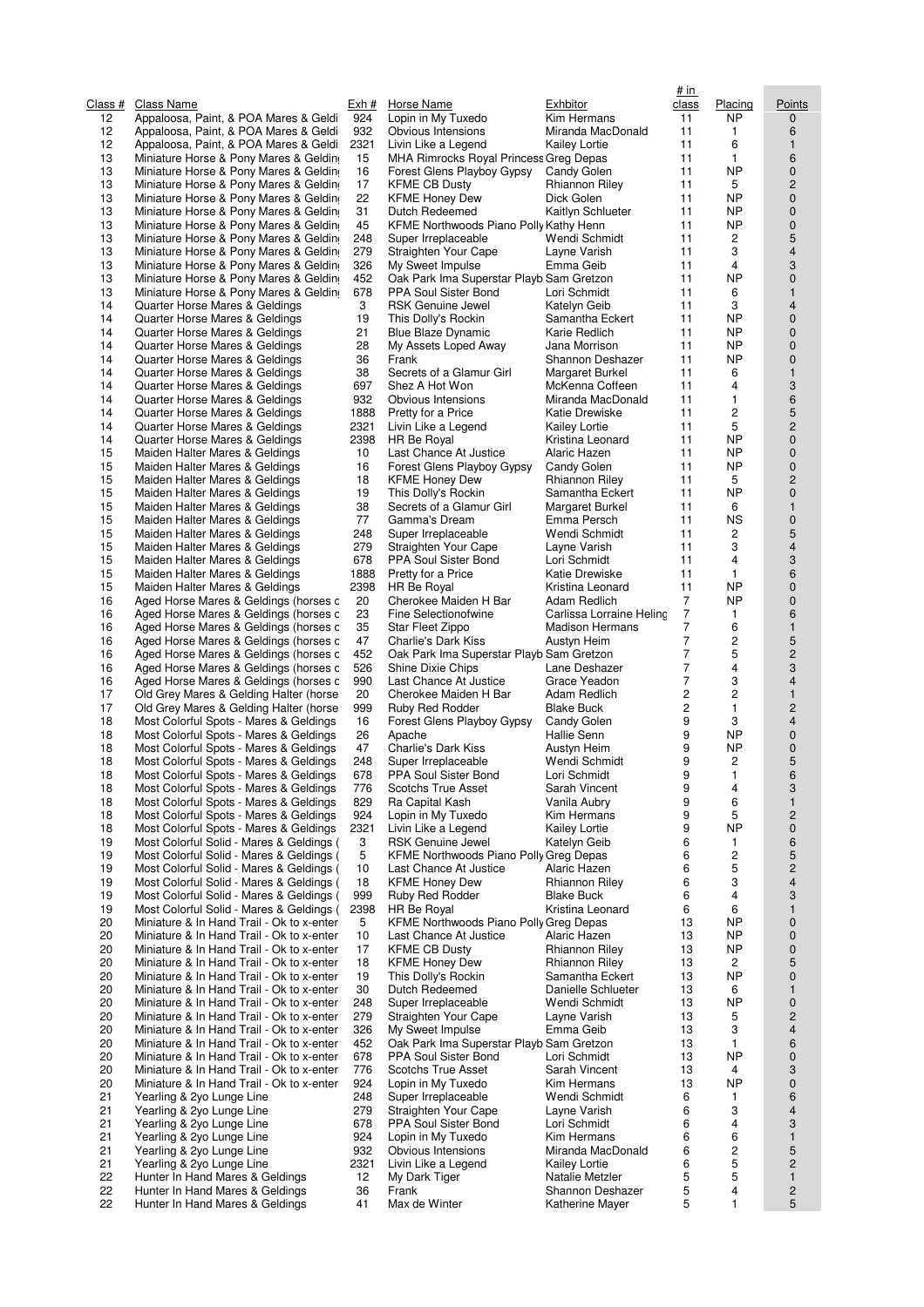| Class #  | Class Name                                                                             | Exh #      | Horse Name                                                       | Exhbitor                             | # in<br>class       | Placing                 | Points                       |
|----------|----------------------------------------------------------------------------------------|------------|------------------------------------------------------------------|--------------------------------------|---------------------|-------------------------|------------------------------|
| 12       | Appaloosa, Paint, & POA Mares & Geldi                                                  | 924        | Lopin in My Tuxedo                                               | Kim Hermans                          | 11                  | <b>NP</b>               | 0                            |
| 12       | Appaloosa, Paint, & POA Mares & Geldi                                                  | 932        | Obvious Intensions                                               | Miranda MacDonald                    | 11                  | 1                       | 6                            |
| 12       | Appaloosa, Paint, & POA Mares & Geldi                                                  | 2321       | Livin Like a Legend                                              | <b>Kailey Lortie</b>                 | 11                  | 6                       | $\mathbf{1}$                 |
| 13<br>13 | Miniature Horse & Pony Mares & Geldin                                                  | 15<br>16   | MHA Rimrocks Royal Princess Greg Depas                           |                                      | 11<br>11            | 1<br><b>NP</b>          | 6<br>0                       |
| 13       | Miniature Horse & Pony Mares & Geldin<br>Miniature Horse & Pony Mares & Geldin         | 17         | Forest Glens Playboy Gypsy<br><b>KFME CB Dusty</b>               | Candy Golen<br>Rhiannon Riley        | 11                  | 5                       | $\overline{c}$               |
| 13       | Miniature Horse & Pony Mares & Geldin                                                  | 22         | <b>KFME Honey Dew</b>                                            | Dick Golen                           | 11                  | <b>NP</b>               | $\mathbf 0$                  |
| 13       | Miniature Horse & Pony Mares & Geldin                                                  | 31         | Dutch Redeemed                                                   | Kaitlyn Schlueter                    | 11                  | <b>NP</b>               | 0                            |
| 13       | Miniature Horse & Pony Mares & Geldin                                                  | 45         | KFME Northwoods Piano Polly Kathy Henn                           |                                      | 11                  | <b>NP</b>               | $\pmb{0}$                    |
| 13       | Miniature Horse & Pony Mares & Geldin                                                  | 248        | Super Irreplaceable                                              | Wendi Schmidt                        | 11                  | 2                       | $\sqrt{5}$                   |
| 13<br>13 | Miniature Horse & Pony Mares & Geldin<br>Miniature Horse & Pony Mares & Geldin         | 279<br>326 | Straighten Your Cape                                             | Layne Varish<br>Emma Geib            | 11<br>11            | 3<br>4                  | $\overline{4}$<br>3          |
| 13       | Miniature Horse & Pony Mares & Geldin                                                  | 452        | My Sweet Impulse<br>Oak Park Ima Superstar Playb Sam Gretzon     |                                      | 11                  | <b>NP</b>               | $\mathbf 0$                  |
| 13       | Miniature Horse & Pony Mares & Geldin                                                  | 678        | PPA Soul Sister Bond                                             | Lori Schmidt                         | 11                  | 6                       | $\mathbf{1}$                 |
| 14       | Quarter Horse Mares & Geldings                                                         | 3          | <b>RSK Genuine Jewel</b>                                         | Katelyn Geib                         | 11                  | 3                       | $\overline{4}$               |
| 14       | Quarter Horse Mares & Geldings                                                         | 19         | This Dolly's Rockin                                              | Samantha Eckert                      | 11                  | <b>NP</b>               | $\pmb{0}$                    |
| 14       | Quarter Horse Mares & Geldings                                                         | 21         | <b>Blue Blaze Dynamic</b>                                        | Karie Redlich                        | 11                  | <b>NP</b>               | 0                            |
| 14<br>14 | Quarter Horse Mares & Geldings<br>Quarter Horse Mares & Geldings                       | 28<br>36   | My Assets Loped Away<br>Frank                                    | Jana Morrison<br>Shannon Deshazer    | 11<br>11            | <b>NP</b><br><b>NP</b>  | $\mathbf 0$<br>$\pmb{0}$     |
| 14       | Quarter Horse Mares & Geldings                                                         | 38         | Secrets of a Glamur Girl                                         | Margaret Burkel                      | 11                  | 6                       | $\mathbf{1}$                 |
| 14       | Quarter Horse Mares & Geldings                                                         | 697        | Shez A Hot Won                                                   | McKenna Coffeen                      | 11                  | $\overline{4}$          | 3                            |
| 14       | Quarter Horse Mares & Geldings                                                         | 932        | Obvious Intensions                                               | Miranda MacDonald                    | 11                  | 1                       | 6                            |
| 14       | Quarter Horse Mares & Geldings                                                         | 1888       | Pretty for a Price                                               | Katie Drewiske                       | 11                  | $\overline{c}$          | $\sqrt{5}$                   |
| 14       | Quarter Horse Mares & Geldings                                                         | 2321       | Livin Like a Legend                                              | <b>Kailey Lortie</b>                 | 11                  | 5                       | $\overline{c}$               |
| 14<br>15 | Quarter Horse Mares & Geldings                                                         | 2398<br>10 | HR Be Royal                                                      | Kristina Leonard<br>Alaric Hazen     | 11<br>11            | <b>NP</b><br><b>NP</b>  | $\mathbf 0$<br>0             |
| 15       | Maiden Halter Mares & Geldings<br>Maiden Halter Mares & Geldings                       | 16         | Last Chance At Justice<br>Forest Glens Playboy Gypsy             | Candy Golen                          | 11                  | <b>NP</b>               | 0                            |
| 15       | Maiden Halter Mares & Geldings                                                         | 18         | <b>KFME Honey Dew</b>                                            | Rhiannon Riley                       | 11                  | 5                       | $\overline{c}$               |
| 15       | Maiden Halter Mares & Geldings                                                         | 19         | This Dolly's Rockin                                              | Samantha Eckert                      | 11                  | <b>NP</b>               | $\mathbf 0$                  |
| 15       | Maiden Halter Mares & Geldings                                                         | 38         | Secrets of a Glamur Girl                                         | Margaret Burkel                      | 11                  | 6                       | $\mathbf{1}$                 |
| 15       | Maiden Halter Mares & Geldings                                                         | 77         | Gamma's Dream                                                    | Emma Persch                          | 11                  | <b>NS</b>               | $\pmb{0}$                    |
| 15<br>15 | Maiden Halter Mares & Geldings                                                         | 248<br>279 | Super Irreplaceable                                              | Wendi Schmidt                        | 11<br>11            | 2<br>3                  | 5<br>$\overline{\mathbf{4}}$ |
| 15       | Maiden Halter Mares & Geldings<br>Maiden Halter Mares & Geldings                       | 678        | Straighten Your Cape<br>PPA Soul Sister Bond                     | Layne Varish<br>Lori Schmidt         | 11                  | 4                       | 3                            |
| 15       | Maiden Halter Mares & Geldings                                                         | 1888       | Pretty for a Price                                               | Katie Drewiske                       | 11                  | $\mathbf{1}$            | 6                            |
| 15       | Maiden Halter Mares & Geldings                                                         | 2398       | HR Be Royal                                                      | Kristina Leonard                     | 11                  | <b>NP</b>               | $\mathbf 0$                  |
| 16       | Aged Horse Mares & Geldings (horses c                                                  | 20         | Cherokee Maiden H Bar                                            | Adam Redlich                         | 7                   | <b>NP</b>               | $\mathbf 0$                  |
| 16       | Aged Horse Mares & Geldings (horses c                                                  | 23         | Fine Selectionofwine                                             | Carlissa Lorraine Heling             | 7                   | 1                       | 6                            |
| 16       | Aged Horse Mares & Geldings (horses c                                                  | 35         | Star Fleet Zippo                                                 | <b>Madison Hermans</b>               | 7<br>$\overline{7}$ | 6<br>$\overline{c}$     | $\mathbf{1}$                 |
| 16<br>16 | Aged Horse Mares & Geldings (horses c<br>Aged Horse Mares & Geldings (horses c         | 47<br>452  | Charlie's Dark Kiss<br>Oak Park Ima Superstar Playb Sam Gretzon  | Austyn Heim                          | 7                   | 5                       | $\sqrt{5}$<br>$\overline{c}$ |
| 16       | Aged Horse Mares & Geldings (horses c                                                  | 526        | Shine Dixie Chips                                                | Lane Deshazer                        | $\overline{7}$      | $\overline{4}$          | 3                            |
| 16       | Aged Horse Mares & Geldings (horses c                                                  | 990        | Last Chance At Justice                                           | Grace Yeadon                         | 7                   | 3                       | $\overline{4}$               |
| 17       | Old Grey Mares & Gelding Halter (horse                                                 | 20         | Cherokee Maiden H Bar                                            | Adam Redlich                         | 2                   | $\overline{c}$          | $\mathbf{1}$                 |
| 17       | Old Grey Mares & Gelding Halter (horse                                                 | 999        | Ruby Red Rodder                                                  | <b>Blake Buck</b>                    | 2                   | 1                       | $\overline{c}$               |
| 18       | Most Colorful Spots - Mares & Geldings                                                 | 16         | Forest Glens Playboy Gypsy                                       | Candy Golen                          | 9                   | 3                       | $\overline{4}$               |
| 18<br>18 | Most Colorful Spots - Mares & Geldings<br>Most Colorful Spots - Mares & Geldings       | 26<br>47   | Apache<br>Charlie's Dark Kiss                                    | Hallie Senn<br>Austyn Heim           | 9<br>9              | <b>NP</b><br><b>NP</b>  | 0<br>0                       |
| 18       | Most Colorful Spots - Mares & Geldings                                                 | 248        | Super Irreplaceable                                              | Wendi Schmidt                        | 9                   | $\overline{c}$          | 5                            |
| 18       | Most Colorful Spots - Mares & Geldings                                                 | 678        | PPA Soul Sister Bond                                             | Lori Schmidt                         | 9                   | 1                       | 6                            |
| 18       | Most Colorful Spots - Mares & Geldings                                                 | 776        | <b>Scotchs True Asset</b>                                        | Sarah Vincent                        | 9                   | 4                       | 3                            |
| 18       | Most Colorful Spots - Mares & Geldings                                                 | 829        | Ra Capital Kash                                                  | Vanila Aubry                         | 9                   | 6                       | $\mathbf{1}$                 |
| 18       | Most Colorful Spots - Mares & Geldings                                                 | 924        | Lopin in My Tuxedo                                               | Kim Hermans                          | 9                   | 5                       | $\overline{c}$               |
| 18<br>19 | Most Colorful Spots - Mares & Geldings<br>Most Colorful Solid - Mares & Geldings (     | 2321<br>3  | Livin Like a Legend<br><b>RSK Genuine Jewel</b>                  | <b>Kailey Lortie</b><br>Katelyn Geib | 9<br>6              | <b>NP</b><br>1          | $\mathbf 0$<br>6             |
| 19       | Most Colorful Solid - Mares & Geldings (                                               | 5          | KFME Northwoods Piano Polly Greg Depas                           |                                      | 6                   | $\overline{\mathbf{c}}$ | 5                            |
| 19       | Most Colorful Solid - Mares & Geldings (                                               | 10         | Last Chance At Justice                                           | Alaric Hazen                         | 6                   | 5                       | $\overline{c}$               |
| 19       | Most Colorful Solid - Mares & Geldings (                                               | 18         | <b>KFME Honey Dew</b>                                            | Rhiannon Riley                       | 6                   | 3                       | $\overline{4}$               |
| 19       | Most Colorful Solid - Mares & Geldings (                                               | 999        | Ruby Red Rodder                                                  | <b>Blake Buck</b>                    | 6                   | 4                       | 3                            |
| 19       | Most Colorful Solid - Mares & Geldings (                                               | 2398       | <b>HR Be Royal</b>                                               | Kristina Leonard                     | 6                   | 6                       | $\mathbf{1}$                 |
| 20<br>20 | Miniature & In Hand Trail - Ok to x-enter<br>Miniature & In Hand Trail - Ok to x-enter | 5          | KFME Northwoods Piano Polly Greg Depas<br>Last Chance At Justice | Alaric Hazen                         | 13                  | <b>NP</b><br><b>NP</b>  | $\mathbf 0$                  |
| 20       | Miniature & In Hand Trail - Ok to x-enter                                              | 10<br>17   | <b>KFME CB Dusty</b>                                             | <b>Rhiannon Riley</b>                | 13<br>13            | <b>NP</b>               | $\mathbf 0$<br>$\mathbf 0$   |
| 20       | Miniature & In Hand Trail - Ok to x-enter                                              | 18         | <b>KFME Honey Dew</b>                                            | <b>Rhiannon Riley</b>                | 13                  | 2                       | 5                            |
| 20       | Miniature & In Hand Trail - Ok to x-enter                                              | 19         | This Dolly's Rockin                                              | Samantha Eckert                      | 13                  | <b>NP</b>               | $\mathbf 0$                  |
| 20       | Miniature & In Hand Trail - Ok to x-enter                                              | 30         | Dutch Redeemed                                                   | Danielle Schlueter                   | 13                  | 6                       | 1                            |
| 20       | Miniature & In Hand Trail - Ok to x-enter                                              | 248        | Super Irreplaceable                                              | Wendi Schmidt                        | 13                  | <b>NP</b>               | $\pmb{0}$                    |
| 20       | Miniature & In Hand Trail - Ok to x-enter                                              | 279        | Straighten Your Cape                                             | Layne Varish                         | 13                  | 5                       | $\overline{c}$               |
| 20<br>20 | Miniature & In Hand Trail - Ok to x-enter<br>Miniature & In Hand Trail - Ok to x-enter | 326<br>452 | My Sweet Impulse<br>Oak Park Ima Superstar Playb Sam Gretzon     | Emma Geib                            | 13<br>13            | 3<br>1                  | 4<br>6                       |
| 20       | Miniature & In Hand Trail - Ok to x-enter                                              | 678        | PPA Soul Sister Bond                                             | Lori Schmidt                         | 13                  | <b>NP</b>               | $\mathbf 0$                  |
| 20       | Miniature & In Hand Trail - Ok to x-enter                                              | 776        | Scotchs True Asset                                               | Sarah Vincent                        | 13                  | 4                       | 3                            |
| 20       | Miniature & In Hand Trail - Ok to x-enter                                              | 924        | Lopin in My Tuxedo                                               | Kim Hermans                          | 13                  | <b>NP</b>               | $\pmb{0}$                    |
| 21       | Yearling & 2yo Lunge Line                                                              | 248        | Super Irreplaceable                                              | Wendi Schmidt                        | 6                   | $\mathbf{1}$            | 6                            |
| 21       | Yearling & 2yo Lunge Line                                                              | 279        | Straighten Your Cape                                             | Layne Varish                         | 6                   | 3<br>4                  | 4                            |
| 21<br>21 | Yearling & 2yo Lunge Line<br>Yearling & 2yo Lunge Line                                 | 678<br>924 | PPA Soul Sister Bond<br>Lopin in My Tuxedo                       | Lori Schmidt<br>Kim Hermans          | 6<br>6              | 6                       | 3<br>$\mathbf{1}$            |
| 21       | Yearling & 2yo Lunge Line                                                              | 932        | Obvious Intensions                                               | Miranda MacDonald                    | 6                   | 2                       | 5                            |
| 21       | Yearling & 2yo Lunge Line                                                              | 2321       | Livin Like a Legend                                              | <b>Kailey Lortie</b>                 | 6                   | 5                       | $\overline{c}$               |
| 22       | Hunter In Hand Mares & Geldings                                                        | 12         | My Dark Tiger                                                    | Natalie Metzler                      | 5                   | 5                       | $\mathbf{1}$                 |
| 22       | Hunter In Hand Mares & Geldings                                                        | 36         | Frank                                                            | Shannon Deshazer                     | 5                   | 4                       | $\overline{c}$               |
| 22       | Hunter In Hand Mares & Geldings                                                        | 41         | Max de Winter                                                    | Katherine Mayer                      | 5                   | 1                       | 5                            |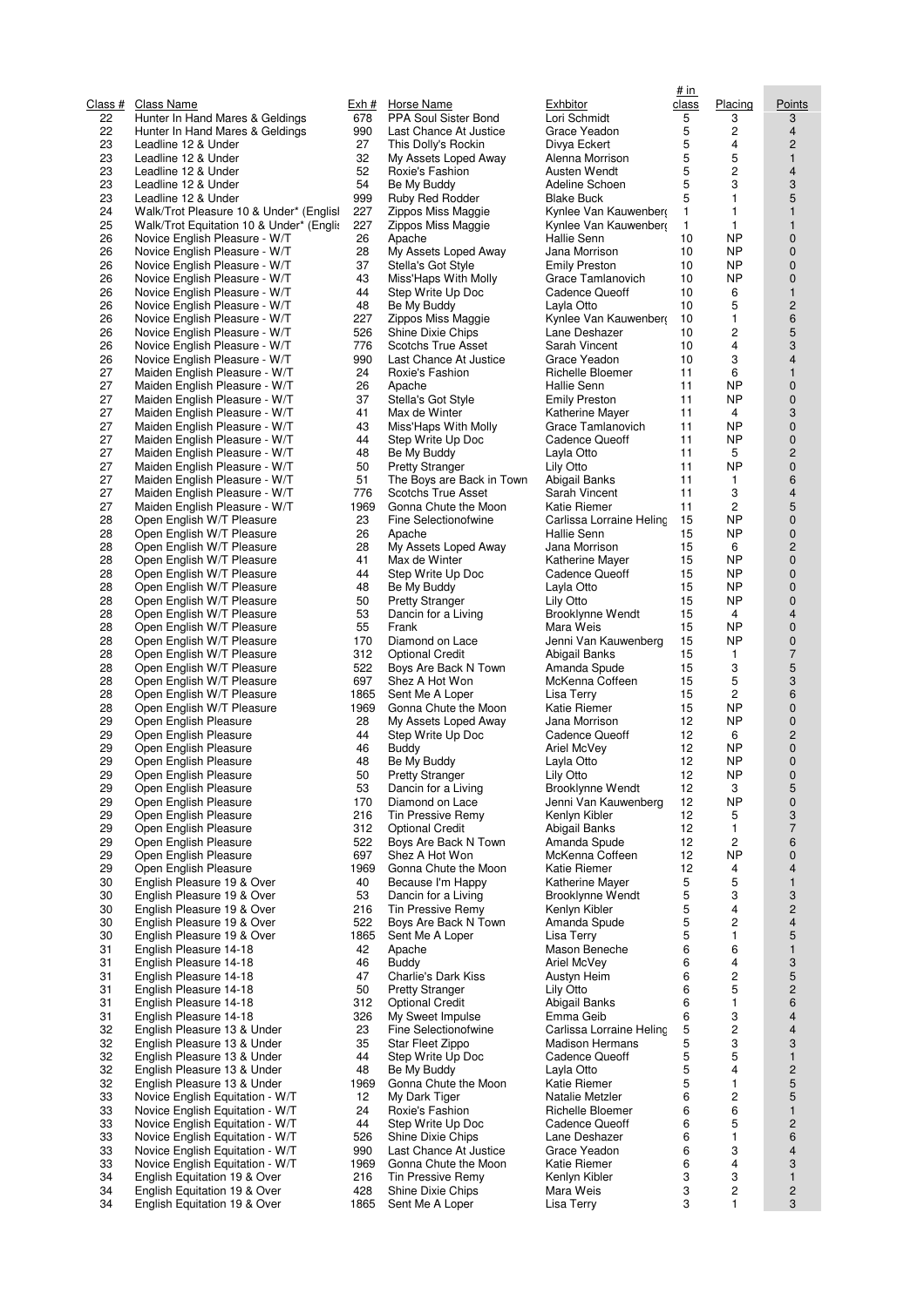| <u>Class #</u> | Class Name                                                         | <u>Exh #</u> | <b>Horse Name</b>                              | <u>Exhbitor</u>             |
|----------------|--------------------------------------------------------------------|--------------|------------------------------------------------|-----------------------------|
| 22<br>22       | Hunter In Hand Mares & Geldings<br>Hunter In Hand Mares & Geldings | 678<br>990   | PPA Soul Sister Bond<br>Last Chance At Justice | Lori Sch<br>Grace Y         |
| 23             | Leadline 12 & Under                                                | 27           | This Dolly's Rockin                            | Divya E                     |
| 23             | Leadline 12 & Under                                                | 32           | My Assets Loped Away                           | Alenna l                    |
| 23             | Leadline 12 & Under                                                | 52           | Roxie's Fashion                                | Austen \                    |
| 23             | Leadline 12 & Under                                                | 54           | Be My Buddy                                    | Adeline                     |
| 23<br>24       | Leadline 12 & Under<br>Walk/Trot Pleasure 10 & Under* (Englisl     | 999<br>227   | Ruby Red Rodder<br>Zippos Miss Maggie          | <b>Blake Br</b><br>Kynlee \ |
| 25             | Walk/Trot Equitation 10 & Under* (Engli:                           | 227          | Zippos Miss Maggie                             | Kynlee \                    |
| 26             | Novice English Pleasure - W/T                                      | 26           | Apache                                         | Hallie S                    |
| 26             | Novice English Pleasure - W/T                                      | 28           | My Assets Loped Away                           | Jana Mo                     |
| 26             | Novice English Pleasure - W/T                                      | 37           | Stella's Got Style                             | <b>Emily Pr</b>             |
| 26             | Novice English Pleasure - W/T                                      | 43           | Miss'Haps With Molly                           | Grace T                     |
| 26<br>26       | Novice English Pleasure - W/T<br>Novice English Pleasure - W/T     | 44<br>48     | Step Write Up Doc                              | Cadenc<br>Layla Ot          |
| 26             | Novice English Pleasure - W/T                                      | 227          | Be My Buddy<br>Zippos Miss Maggie              | Kynlee \                    |
| 26             | Novice English Pleasure - W/T                                      | 526          | Shine Dixie Chips                              | Lane De                     |
| 26             | Novice English Pleasure - W/T                                      | 776          | Scotchs True Asset                             | Sarah V                     |
| 26             | Novice English Pleasure - W/T                                      | 990          | Last Chance At Justice                         | Grace Y                     |
| 27             | Maiden English Pleasure - W/T                                      | 24           | Roxie's Fashion                                | Richelle                    |
| 27<br>27       | Maiden English Pleasure - W/T<br>Maiden English Pleasure - W/T     | 26<br>37     | Apache<br>Stella's Got Style                   | Hallie S<br><b>Emily Pr</b> |
| 27             | Maiden English Pleasure - W/T                                      | 41           | Max de Winter                                  | Katherin                    |
| 27             | Maiden English Pleasure - W/T                                      | 43           | Miss'Haps With Molly                           | Grace T                     |
| 27             | Maiden English Pleasure - W/T                                      | 44           | Step Write Up Doc                              | Cadenc                      |
| 27             | Maiden English Pleasure - W/T                                      | 48           | Be My Buddy                                    | Layla Ot                    |
| 27             | Maiden English Pleasure - W/T                                      | 50           | <b>Pretty Stranger</b>                         | Lily Otto                   |
| 27<br>27       | Maiden English Pleasure - W/T<br>Maiden English Pleasure - W/T     | 51<br>776    | The Boys are Back in Town                      | Abigail E                   |
| 27             | Maiden English Pleasure - W/T                                      | 1969         | Scotchs True Asset<br>Gonna Chute the Moon     | Sarah V<br>Katie Ri         |
| 28             | Open English W/T Pleasure                                          | 23           | Fine Selectionofwine                           | Carlissa                    |
| 28             | Open English W/T Pleasure                                          | 26           | Apache                                         | Hallie S                    |
| 28             | Open English W/T Pleasure                                          | 28           | My Assets Loped Away                           | Jana Mc                     |
| 28             | Open English W/T Pleasure                                          | 41           | Max de Winter                                  | Katherin                    |
| 28             | Open English W/T Pleasure                                          | 44           | Step Write Up Doc                              | Cadenc                      |
| 28<br>28       | Open English W/T Pleasure<br>Open English W/T Pleasure             | 48<br>50     | Be My Buddy<br><b>Pretty Stranger</b>          | Layla Ot<br>Lily Otto       |
| 28             | Open English W/T Pleasure                                          | 53           | Dancin for a Living                            | Brooklyr                    |
| 28             | Open English W/T Pleasure                                          | 55           | Frank                                          | Mara W                      |
| 28             | Open English W/T Pleasure                                          | 170          | Diamond on Lace                                | Jenni Va                    |
| 28             | Open English W/T Pleasure                                          | 312          | <b>Optional Credit</b>                         | Abigail E                   |
| 28             | Open English W/T Pleasure                                          | 522          | Boys Are Back N Town                           | Amanda                      |
| 28<br>28       | Open English W/T Pleasure<br>Open English W/T Pleasure             | 697<br>1865  | Shez A Hot Won<br>Sent Me A Loper              | McKenn<br>Lisa Ter          |
| 28             | Open English W/T Pleasure                                          | 1969         | Gonna Chute the Moon                           | Katie Ri                    |
| 29             | Open English Pleasure                                              | 28           | My Assets Loped Away                           | Jana Mo                     |
| 29             | Open English Pleasure                                              | 44           | Step Write Up Doc                              | Cadence                     |
| 29             | Open English Pleasure                                              | 46           | Buddy                                          | Ariel Mc                    |
| 29<br>29       | Open English Pleasure<br>Open English Pleasure                     | 48<br>50     | Be My Buddy                                    | Layla Ot                    |
| 29             | Open English Pleasure                                              | 53           | <b>Pretty Stranger</b><br>Dancin for a Living  | Lily Otto<br>Brooklyr       |
| 29             | Open English Pleasure                                              | 170          | Diamond on Lace                                | Jenni Va                    |
| 29             | Open English Pleasure                                              | 216          | Tin Pressive Remy                              | Kenlyn ł                    |
| 29             | Open English Pleasure                                              | 312          | <b>Optional Credit</b>                         | Abigail E                   |
| 29             | Open English Pleasure                                              | 522          | Boys Are Back N Town                           | Amanda                      |
| 29<br>29       | Open English Pleasure<br>Open English Pleasure                     | 697<br>1969  | Shez A Hot Won<br>Gonna Chute the Moon         | McKenn<br>Katie Ri          |
| 30             | English Pleasure 19 & Over                                         | 40           | Because I'm Happy                              | Katherin                    |
| 30             | English Pleasure 19 & Over                                         | 53           | Dancin for a Living                            | <b>Brooklyr</b>             |
| 30             | English Pleasure 19 & Over                                         | 216          | Tin Pressive Remy                              | Kenlyn ł                    |
| 30             | English Pleasure 19 & Over                                         | 522          | Boys Are Back N Town                           | Amanda                      |
| 30             | English Pleasure 19 & Over                                         | 1865         | Sent Me A Loper                                | Lisa Ter                    |
| 31<br>31       | English Pleasure 14-18<br>English Pleasure 14-18                   | 42<br>46     | Apache<br>Buddy                                | Mason E<br>Ariel Mc         |
| 31             | English Pleasure 14-18                                             | 47           | Charlie's Dark Kiss                            | Austyn I                    |
| 31             | English Pleasure 14-18                                             | 50           | <b>Pretty Stranger</b>                         | Lily Otto                   |
| 31             | English Pleasure 14-18                                             | 312          | <b>Optional Credit</b>                         | Abigail E                   |
| 31             | English Pleasure 14-18                                             | 326          | My Sweet Impulse                               | Emma C                      |
| 32             | English Pleasure 13 & Under                                        | 23           | Fine Selectionofwine                           | Carlissa                    |
| 32<br>32       | English Pleasure 13 & Under<br>English Pleasure 13 & Under         | 35<br>44     | Star Fleet Zippo<br>Step Write Up Doc          | Madisor<br>Cadence          |
| 32             | English Pleasure 13 & Under                                        | 48           | Be My Buddy                                    | Layla Ot                    |
| 32             | English Pleasure 13 & Under                                        | 1969         | Gonna Chute the Moon                           | Katie Ri                    |
| 33             | Novice English Equitation - W/T                                    | 12           | My Dark Tiger                                  | Natalie I                   |
| 33             | Novice English Equitation - W/T                                    | 24           | Roxie's Fashion                                | Richelle                    |
| 33             | Novice English Equitation - W/T                                    | 44           | Step Write Up Doc                              | Cadenc                      |
| 33<br>33       | Novice English Equitation - W/T<br>Novice English Equitation - W/T | 526<br>990   | Shine Dixie Chips<br>Last Chance At Justice    | Lane De<br>Grace Y          |
| 33             | Novice English Equitation - W/T                                    | 1969         | Gonna Chute the Moon                           | Katie Ri                    |
| 34             | English Equitation 19 & Over                                       | 216          | Tin Pressive Remy                              | Kenlyn ł                    |
| 34             | English Equitation 19 & Over                                       | 428          | Shine Dixie Chips                              | Mara W                      |
| 34             | English Equitation 19 & Over                                       | 1865         | Sent Me A Loper                                | Lisa Ter                    |

| <u>ch #</u>      | Horse Name                                    |
|------------------|-----------------------------------------------|
| 78ء              | PPA Soul Sister Bond                          |
| )90<br>27        | Last Chance At Justice<br>This Dolly's Rockin |
| 32               | My Assets Loped Away                          |
| 52               | Roxie's Fashion                               |
| 54               | Be My Buddy                                   |
| 99               | Ruby Red Rodder                               |
| 27               | Zippos Miss Maggie                            |
| 27<br>26         | Zippos Miss Maggie                            |
| 28               | Apache<br>My Assets Loped Away                |
| 37               | Stella's Got Style                            |
| 43               | Miss'Haps With Molly                          |
| 44               | Step Write Up Doc                             |
| 48<br>27         | Be My Buddy                                   |
| 26 i             | Zippos Miss Maggie<br>Shine Dixie Chips       |
| 76               | Scotchs True Asset                            |
| )90              | Last Chance At Justice                        |
| 24               | Roxie's Fashion                               |
| 26               | Apache                                        |
| 37<br>41         | Stella's Got Style<br>Max de Winter           |
| 43               | Miss'Haps With Molly                          |
| 44               | Step Write Up Doc                             |
| 48               | Be My Buddy                                   |
| 50               | <b>Pretty Stranger</b>                        |
| 51               | The Boys are Back in Town                     |
| 76<br>969        | Scotchs True Asset<br>Gonna Chute the Moon    |
| 23               | <b>Fine Selectionofwine</b>                   |
| 26               | Apache                                        |
| 28               | My Assets Loped Away                          |
| 41               | Max de Winter                                 |
| 44<br>48         | Step Write Up Doc<br>Be My Buddy              |
| 50               | <b>Pretty Stranger</b>                        |
| 53               | Dancin for a Living                           |
| 55               | Frank                                         |
| 70               | Diamond on Lace                               |
| 812              | Optional Credit                               |
| ,22<br>597       | Boys Are Back N Town<br>Shez A Hot Won        |
| 865              | Sent Me A Loper                               |
| 969              | Gonna Chute the Moon                          |
| 28               | My Assets Loped Away                          |
| 44               | Step Write Up Doc                             |
| 46<br>48         | Buddy<br>Be My Buddy                          |
| 50               | Pretty Stranger                               |
| 53               | Dancin for a Living                           |
| 70               | Diamond on Lace                               |
| 216              | Tin Pressive Remy                             |
| 812              | <b>Optional Credit</b>                        |
| ,22<br>597       | Boys Are Back N Town<br>Shez A Hot Won        |
| 969              | Gonna Chute the Moon                          |
| 40               | Because I'm Happy                             |
| 53               | Dancin for a Living                           |
| :16              | Tin Pressive Remy                             |
| 22 i<br>865      | Boys Are Back N Town<br>Sent Me A Loper       |
| 42               | Apache                                        |
| 46               | Buddy                                         |
| 47               | Charlie's Dark Kiss                           |
| 50               | <b>Pretty Stranger</b>                        |
| 812<br>826       | Optional Credit                               |
| 23               | My Sweet Impulse<br>Fine Selectionofwine      |
| 35               | Star Fleet Zippo                              |
| 44               | Step Write Up Doc                             |
| 48               | Be My Buddy                                   |
| 969              | Gonna Chute the Moon                          |
| 12<br>24         | My Dark Tiger<br>Roxie's Fashion              |
| 44               | Step Write Up Doc                             |
| 26ة              | Shine Dixie Chips                             |
| )90              | Last Chance At Justice                        |
| 969              | Gonna Chute the Moon                          |
| :16<br><b>28</b> | Tin Pressive Remy<br>Shine Dixie Chips        |
| 865              | Sent Me A Loper                               |
|                  |                                               |

|                     |                                          |       |                           |                          | <u># in</u> |                |                         |
|---------------------|------------------------------------------|-------|---------------------------|--------------------------|-------------|----------------|-------------------------|
|                     | Class Name                               | Exh # | Horse Name                | Exhbitor                 | class       | Placing        | Points                  |
| <u> ass #</u><br>22 | Hunter In Hand Mares & Geldings          | 678   | PPA Soul Sister Bond      | Lori Schmidt             | 5           | 3              | 3                       |
|                     |                                          |       |                           |                          |             |                |                         |
| 22                  | Hunter In Hand Mares & Geldings          | 990   | Last Chance At Justice    | Grace Yeadon             | 5           | 2              | 4                       |
| 23                  | Leadline 12 & Under                      | 27    | This Dolly's Rockin       | Divya Eckert             | 5           | 4              | $\overline{c}$          |
| 23                  | Leadline 12 & Under                      | 32    | My Assets Loped Away      | Alenna Morrison          | 5           | 5              | $\mathbf{1}$            |
| 23                  | Leadline 12 & Under                      | 52    | Roxie's Fashion           | Austen Wendt             | 5           | 2              | $\overline{\mathbf{4}}$ |
| 23                  | Leadline 12 & Under                      | 54    | Be My Buddy               | Adeline Schoen           | 5           | 3              | 3                       |
| 23                  | Leadline 12 & Under                      | 999   | Ruby Red Rodder           | Blake Buck               | 5           | 1              | 5                       |
| 24                  | Walk/Trot Pleasure 10 & Under* (Englis)  | 227   | Zippos Miss Maggie        | Kynlee Van Kauwenberg    | 1           | 1              | $\mathbf{1}$            |
| 25                  | Walk/Trot Equitation 10 & Under* (Engli: | 227   | Zippos Miss Maggie        | Kynlee Van Kauwenberg    | 1           | 1              | 1                       |
| 26                  | Novice English Pleasure - W/T            | 26    | Apache                    | Hallie Senn              | 10          | <b>NP</b>      | 0                       |
| 26                  | Novice English Pleasure - W/T            | 28    | My Assets Loped Away      | Jana Morrison            | 10          | <b>NP</b>      | 0                       |
| 26                  | Novice English Pleasure - W/T            | 37    | Stella's Got Style        | <b>Emily Preston</b>     | 10          | <b>NP</b>      | 0                       |
|                     |                                          |       |                           |                          |             |                |                         |
| 26                  | Novice English Pleasure - W/T            | 43    | Miss'Haps With Molly      | Grace Tamlanovich        | 10          | <b>NP</b>      | 0                       |
| 26                  | Novice English Pleasure - W/T            | 44    | Step Write Up Doc         | Cadence Queoff           | 10          | 6              | $\mathbf{1}$            |
| 26                  | Novice English Pleasure - W/T            | 48    | Be My Buddy               | Layla Otto               | 10          | 5              | $\overline{c}$          |
| 26                  | Novice English Pleasure - W/T            | 227   | Zippos Miss Maggie        | Kynlee Van Kauwenberg    | 10          | 1              | 6                       |
| 26                  | Novice English Pleasure - W/T            | 526   | Shine Dixie Chips         | Lane Deshazer            | 10          | 2              | 5                       |
| 26                  | Novice English Pleasure - W/T            | 776   | <b>Scotchs True Asset</b> | Sarah Vincent            | 10          | 4              | 3                       |
| 26                  | Novice English Pleasure - W/T            | 990   | Last Chance At Justice    | Grace Yeadon             | 10          | 3              | $\overline{4}$          |
| 27                  | Maiden English Pleasure - W/T            | 24    | Roxie's Fashion           | Richelle Bloemer         | 11          | 6              | $\mathbf{1}$            |
| 27                  | Maiden English Pleasure - W/T            | 26    | Apache                    | Hallie Senn              | 11          | <b>NP</b>      | 0                       |
|                     |                                          |       |                           |                          |             |                |                         |
| 27                  | Maiden English Pleasure - W/T            | 37    | Stella's Got Style        | <b>Emily Preston</b>     | 11          | <b>NP</b>      | $\mathbf 0$             |
| 27                  | Maiden English Pleasure - W/T            | 41    | Max de Winter             | Katherine Mayer          | 11          | 4              | 3                       |
| 27                  | Maiden English Pleasure - W/T            | 43    | Miss'Haps With Molly      | Grace Tamlanovich        | 11          | <b>NP</b>      | 0                       |
| 27                  | Maiden English Pleasure - W/T            | 44    | Step Write Up Doc         | Cadence Queoff           | 11          | <b>NP</b>      | $\pmb{0}$               |
| 27                  | Maiden English Pleasure - W/T            | 48    | Be My Buddy               | Layla Otto               | 11          | 5              | $\overline{c}$          |
| 27                  | Maiden English Pleasure - W/T            | 50    | <b>Pretty Stranger</b>    | Lily Otto                | 11          | <b>NP</b>      | $\pmb{0}$               |
| 27                  | Maiden English Pleasure - W/T            | 51    | The Boys are Back in Town | Abigail Banks            | 11          | 1              | 6                       |
| 27                  | Maiden English Pleasure - W/T            | 776   | <b>Scotchs True Asset</b> | Sarah Vincent            | 11          | 3              | 4                       |
| 27                  | Maiden English Pleasure - W/T            | 1969  | Gonna Chute the Moon      | Katie Riemer             | 11          | $\overline{c}$ | 5                       |
| 28                  | Open English W/T Pleasure                | 23    | Fine Selectionofwine      | Carlissa Lorraine Heling | 15          | <b>NP</b>      | $\mathbf 0$             |
|                     |                                          |       |                           | Hallie Senn              |             | <b>NP</b>      |                         |
| 28                  | Open English W/T Pleasure                | 26    | Apache                    |                          | 15          |                | $\pmb{0}$               |
| 28                  | Open English W/T Pleasure                | 28    | My Assets Loped Away      | Jana Morrison            | 15          | 6              | $\overline{c}$          |
| 28                  | Open English W/T Pleasure                | 41    | Max de Winter             | Katherine Mayer          | 15          | <b>NP</b>      | $\pmb{0}$               |
| 28                  | Open English W/T Pleasure                | 44    | Step Write Up Doc         | Cadence Queoff           | 15          | <b>NP</b>      | 0                       |
| 28                  | Open English W/T Pleasure                | 48    | Be My Buddy               | Layla Otto               | 15          | <b>NP</b>      | 0                       |
| 28                  | Open English W/T Pleasure                | 50    | <b>Pretty Stranger</b>    | Lily Otto                | 15          | <b>NP</b>      | 0                       |
| 28                  | Open English W/T Pleasure                | 53    | Dancin for a Living       | Brooklynne Wendt         | 15          | $\overline{4}$ | 4                       |
| 28                  | Open English W/T Pleasure                | 55    | Frank                     | Mara Weis                | 15          | <b>NP</b>      | $\pmb{0}$               |
| 28                  | Open English W/T Pleasure                | 170   | Diamond on Lace           | Jenni Van Kauwenberg     | 15          | <b>NP</b>      | 0                       |
| 28                  |                                          | 312   |                           |                          | 15          | 1              | $\overline{7}$          |
|                     | Open English W/T Pleasure                |       | <b>Optional Credit</b>    | Abigail Banks            |             |                |                         |
| 28                  | Open English W/T Pleasure                | 522   | Boys Are Back N Town      | Amanda Spude             | 15          | 3              | 5                       |
| 28                  | Open English W/T Pleasure                | 697   | Shez A Hot Won            | McKenna Coffeen          | 15          | 5              | 3                       |
| 28                  | Open English W/T Pleasure                | 1865  | Sent Me A Loper           | Lisa Terry               | 15          | 2              | 6                       |
| 28                  | Open English W/T Pleasure                | 1969  | Gonna Chute the Moon      | Katie Riemer             | 15          | <b>NP</b>      | $\mathbf 0$             |
| 29                  | Open English Pleasure                    | 28    | My Assets Loped Away      | Jana Morrison            | 12          | <b>NP</b>      | 0                       |
| 29                  | Open English Pleasure                    | 44    | Step Write Up Doc         | Cadence Queoff           | 12          | 6              | 2                       |
| 29                  | Open English Pleasure                    | 46    | <b>Buddy</b>              | Ariel McVey              | 12          | <b>NP</b>      | $\mathbf 0$             |
| 29                  | Open English Pleasure                    | 48    | Be My Buddy               | Layla Otto               | 12          | <b>NP</b>      | 0                       |
| 29                  | Open English Pleasure                    | 50    | <b>Pretty Stranger</b>    | Lily Otto                | 12          | <b>NP</b>      | $\mathbf{0}$            |
| 29                  | Open English Pleasure                    | 53    | Dancin for a Living       | Brooklynne Wendt         | 12          | 3              | 5                       |
|                     |                                          |       |                           |                          |             | <b>NP</b>      | $\pmb{0}$               |
| 29                  | Open English Pleasure                    | 170   | Diamond on Lace           | Jenni Van Kauwenberg     | 12          |                |                         |
| 29                  | Open English Pleasure                    | 216   | Tin Pressive Remy         | Kenlyn Kibler            | 12          | 5              | 3                       |
| 29                  | Open English Pleasure                    | 312   | <b>Optional Credit</b>    | Abigail Banks            | 12          | 1              | $\overline{7}$          |
| 29                  | Open English Pleasure                    | 522   | Boys Are Back N Town      | Amanda Spude             | 12          | 2              | 6                       |
| 29                  | Open English Pleasure                    | 697   | Shez A Hot Won            | McKenna Coffeen          | 12          | <b>NP</b>      | 0                       |
| 29                  | Open English Pleasure                    | 1969  | Gonna Chute the Moon      | Katie Riemer             | 12          | 4              | 4                       |
| 30                  | English Pleasure 19 & Over               | 40    | Because I'm Happy         | Katherine Mayer          | 5           | 5              | $\mathbf{1}$            |
| 30                  | English Pleasure 19 & Over               | 53    | Dancin for a Living       | Brooklynne Wendt         | 5           | 3              | 3                       |
| 30                  | English Pleasure 19 & Over               | 216   | Tin Pressive Remy         | Kenlyn Kibler            | 5           | 4              | $\overline{\mathbf{c}}$ |
| 30                  | English Pleasure 19 & Over               | 522   | Boys Are Back N Town      | Amanda Spude             | 5           | 2              | 4                       |
|                     | English Pleasure 19 & Over               |       |                           | Lisa Terry               | 5           | 1              | 5                       |
| 30                  |                                          | 1865  | Sent Me A Loper           |                          |             |                |                         |
| 31                  | English Pleasure 14-18                   | 42    | Apache                    | Mason Beneche            | 6           | 6              | $\mathbf{1}$            |
| 31                  | English Pleasure 14-18                   | 46    | Buddy                     | Ariel McVey              | 6           | 4              | 3                       |
| 31                  | English Pleasure 14-18                   | 47    | Charlie's Dark Kiss       | Austyn Heim              | 6           | 2              | 5                       |
| 31                  | English Pleasure 14-18                   | 50    | <b>Pretty Stranger</b>    | Lily Otto                | 6           | 5              | $\overline{c}$          |
| 31                  | English Pleasure 14-18                   | 312   | <b>Optional Credit</b>    | Abigail Banks            | 6           | 1              | 6                       |
| 31                  | English Pleasure 14-18                   | 326   | My Sweet Impulse          | Emma Geib                | 6           | 3              | 4                       |
| 32                  | English Pleasure 13 & Under              | 23    | Fine Selectionofwine      | Carlissa Lorraine Heling | 5           | 2              | 4                       |
| 32                  | English Pleasure 13 & Under              | 35    | Star Fleet Zippo          | <b>Madison Hermans</b>   | 5           | 3              | 3                       |
| 32                  | English Pleasure 13 & Under              | 44    | Step Write Up Doc         | Cadence Queoff           | 5           | 5              | $\mathbf{1}$            |
| 32                  | English Pleasure 13 & Under              | 48    | Be My Buddy               |                          | 5           | 4              | $\overline{c}$          |
|                     |                                          |       |                           | Layla Otto               |             |                |                         |
| 32                  | English Pleasure 13 & Under              | 1969  | Gonna Chute the Moon      | Katie Riemer             | 5           | 1              | 5                       |
| 33                  | Novice English Equitation - W/T          | 12    | My Dark Tiger             | Natalie Metzler          | 6           | 2              | 5                       |
| 33                  | Novice English Equitation - W/T          | 24    | Roxie's Fashion           | Richelle Bloemer         | 6           | 6              | $\mathbf{1}$            |
| 33                  | Novice English Equitation - W/T          | 44    | Step Write Up Doc         | Cadence Queoff           | 6           | 5              | 2                       |
| 33                  | Novice English Equitation - W/T          | 526   | Shine Dixie Chips         | Lane Deshazer            | 6           | 1              | 6                       |
| 33                  | Novice English Equitation - W/T          | 990   | Last Chance At Justice    | Grace Yeadon             | 6           | 3              | $\overline{\mathbf{4}}$ |
| 33                  | Novice English Equitation - W/T          | 1969  | Gonna Chute the Moon      | Katie Riemer             | 6           | 4              | 3                       |
| 34                  | English Equitation 19 & Over             | 216   | <b>Tin Pressive Remy</b>  | Kenlyn Kibler            | 3           | 3              | $\mathbf{1}$            |
| 34                  | English Equitation 19 & Over             | 428   | Shine Dixie Chips         | Mara Weis                | 3           | 2              | 2                       |
| 34                  |                                          |       | Sent Me A Loper           | Lisa Terry               | 3           | 1              | 3                       |
|                     | English Equitation 19 & Over             | 1865  |                           |                          |             |                |                         |